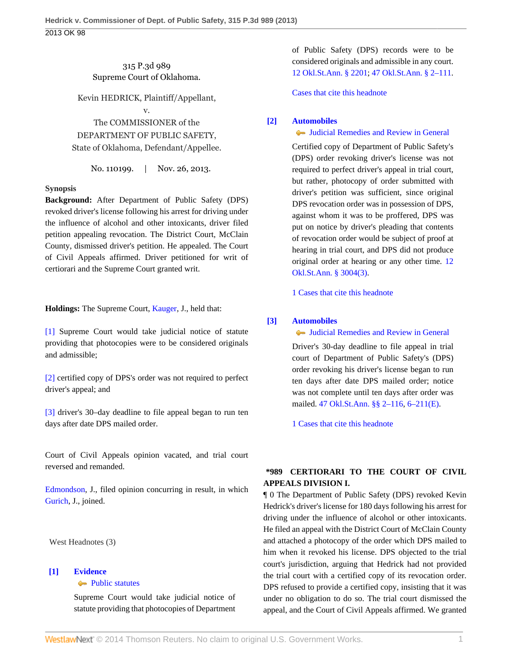## 315 P.3d 989 Supreme Court of Oklahoma.

Kevin HEDRICK, Plaintiff/Appellant,

v.

The COMMISSIONER of the DEPARTMENT OF PUBLIC SAFETY, State of Oklahoma, Defendant/Appellee.

No. 110199. | Nov. 26, 2013.

### **Synopsis**

**Background:** After Department of Public Safety (DPS) revoked driver's license following his arrest for driving under the influence of alcohol and other intoxicants, driver filed petition appealing revocation. The District Court, McClain County, dismissed driver's petition. He appealed. The Court of Civil Appeals affirmed. Driver petitioned for writ of certiorari and the Supreme Court granted writ.

**Holdings:** The Supreme Court, [Kauger](http://www.westlaw.com/Link/Document/FullText?findType=h&pubNum=176284&cite=0241378201&originatingDoc=I24ac18cf57f111e3b48bea39e86d4142&refType=RQ&originationContext=document&vr=3.0&rs=cblt1.0&transitionType=DocumentItem&contextData=(sc.Search)), J., held that:

[\[1\]](#page-0-0) Supreme Court would take judicial notice of statute providing that photocopies were to be considered originals and admissible;

[\[2\]](#page-0-1) certified copy of DPS's order was not required to perfect driver's appeal; and

[\[3\]](#page-0-2) driver's 30–day deadline to file appeal began to run ten days after date DPS mailed order.

Court of Civil Appeals opinion vacated, and trial court reversed and remanded.

[Edmondson,](http://www.westlaw.com/Link/Document/FullText?findType=h&pubNum=176284&cite=0176202101&originatingDoc=I24ac18cf57f111e3b48bea39e86d4142&refType=RQ&originationContext=document&vr=3.0&rs=cblt1.0&transitionType=DocumentItem&contextData=(sc.Search)) J., filed opinion concurring in result, in which [Gurich,](http://www.westlaw.com/Link/Document/FullText?findType=h&pubNum=176284&cite=0180213701&originatingDoc=I24ac18cf57f111e3b48bea39e86d4142&refType=RQ&originationContext=document&vr=3.0&rs=cblt1.0&transitionType=DocumentItem&contextData=(sc.Search)) J., joined.

West Headnotes (3)

### <span id="page-0-0"></span>**[\[1\]](#page-2-0) [Evidence](http://www.westlaw.com/Browse/Home/KeyNumber/157/View.html?docGuid=I24ac18cf57f111e3b48bea39e86d4142&originationContext=document&vr=3.0&rs=cblt1.0&transitionType=DocumentItem&contextData=(sc.Search)) [Public statutes](http://www.westlaw.com/Browse/Home/KeyNumber/157k29/View.html?docGuid=I24ac18cf57f111e3b48bea39e86d4142&originationContext=document&vr=3.0&rs=cblt1.0&transitionType=DocumentItem&contextData=(sc.Search))**

Supreme Court would take judicial notice of statute providing that photocopies of Department

of Public Safety (DPS) records were to be considered originals and admissible in any court. [12 Okl.St.Ann. § 2201;](http://www.westlaw.com/Link/Document/FullText?findType=L&pubNum=1000165&cite=OKSTT12S2201&originatingDoc=I24ac18cf57f111e3b48bea39e86d4142&refType=LQ&originationContext=document&vr=3.0&rs=cblt1.0&transitionType=DocumentItem&contextData=(sc.Search)) [47 Okl.St.Ann. § 2–111](http://www.westlaw.com/Link/Document/FullText?findType=L&pubNum=1000165&cite=OKSTT47S2-111&originatingDoc=I24ac18cf57f111e3b48bea39e86d4142&refType=LQ&originationContext=document&vr=3.0&rs=cblt1.0&transitionType=DocumentItem&contextData=(sc.Search)).

[Cases that cite this headnote](http://www.westlaw.com/Link/RelatedInformation/DocHeadnoteLink?docGuid=I24ac18cf57f111e3b48bea39e86d4142&headnoteId=203215095100120140404033507&originationContext=document&vr=3.0&rs=cblt1.0&transitionType=CitingReferences&contextData=(sc.Search))

## <span id="page-0-1"></span>**[\[2\]](#page-2-1) [Automobiles](http://www.westlaw.com/Browse/Home/KeyNumber/48A/View.html?docGuid=I24ac18cf57f111e3b48bea39e86d4142&originationContext=document&vr=3.0&rs=cblt1.0&transitionType=DocumentItem&contextData=(sc.Search))**

# [Judicial Remedies and Review in General](http://www.westlaw.com/Browse/Home/KeyNumber/48Ak144.2(2)/View.html?docGuid=I24ac18cf57f111e3b48bea39e86d4142&originationContext=document&vr=3.0&rs=cblt1.0&transitionType=DocumentItem&contextData=(sc.Search))

Certified copy of Department of Public Safety's (DPS) order revoking driver's license was not required to perfect driver's appeal in trial court, but rather, photocopy of order submitted with driver's petition was sufficient, since original DPS revocation order was in possession of DPS, against whom it was to be proffered, DPS was put on notice by driver's pleading that contents of revocation order would be subject of proof at hearing in trial court, and DPS did not produce original order at hearing or any other time. [12](http://www.westlaw.com/Link/Document/FullText?findType=L&pubNum=1000165&cite=OKSTT12S3004&originatingDoc=I24ac18cf57f111e3b48bea39e86d4142&refType=LQ&originationContext=document&vr=3.0&rs=cblt1.0&transitionType=DocumentItem&contextData=(sc.Search)) [Okl.St.Ann. § 3004\(3\)](http://www.westlaw.com/Link/Document/FullText?findType=L&pubNum=1000165&cite=OKSTT12S3004&originatingDoc=I24ac18cf57f111e3b48bea39e86d4142&refType=LQ&originationContext=document&vr=3.0&rs=cblt1.0&transitionType=DocumentItem&contextData=(sc.Search)).

[1 Cases that cite this headnote](http://www.westlaw.com/Link/RelatedInformation/DocHeadnoteLink?docGuid=I24ac18cf57f111e3b48bea39e86d4142&headnoteId=203215095100220140404033507&originationContext=document&vr=3.0&rs=cblt1.0&transitionType=CitingReferences&contextData=(sc.Search))

### <span id="page-0-2"></span>**[\[3\]](#page-3-0) [Automobiles](http://www.westlaw.com/Browse/Home/KeyNumber/48A/View.html?docGuid=I24ac18cf57f111e3b48bea39e86d4142&originationContext=document&vr=3.0&rs=cblt1.0&transitionType=DocumentItem&contextData=(sc.Search))**

[Judicial Remedies and Review in General](http://www.westlaw.com/Browse/Home/KeyNumber/48Ak144.2(2)/View.html?docGuid=I24ac18cf57f111e3b48bea39e86d4142&originationContext=document&vr=3.0&rs=cblt1.0&transitionType=DocumentItem&contextData=(sc.Search))

Driver's 30-day deadline to file appeal in trial court of Department of Public Safety's (DPS) order revoking his driver's license began to run ten days after date DPS mailed order; notice was not complete until ten days after order was mailed. [47 Okl.St.Ann. §§ 2–116](http://www.westlaw.com/Link/Document/FullText?findType=L&pubNum=1000165&cite=OKSTT47S2-116&originatingDoc=I24ac18cf57f111e3b48bea39e86d4142&refType=LQ&originationContext=document&vr=3.0&rs=cblt1.0&transitionType=DocumentItem&contextData=(sc.Search)), [6–211\(E\)](http://www.westlaw.com/Link/Document/FullText?findType=L&pubNum=1000165&cite=OKSTT47S6-211&originatingDoc=I24ac18cf57f111e3b48bea39e86d4142&refType=LQ&originationContext=document&vr=3.0&rs=cblt1.0&transitionType=DocumentItem&contextData=(sc.Search)).

[1 Cases that cite this headnote](http://www.westlaw.com/Link/RelatedInformation/DocHeadnoteLink?docGuid=I24ac18cf57f111e3b48bea39e86d4142&headnoteId=203215095100320140404033507&originationContext=document&vr=3.0&rs=cblt1.0&transitionType=CitingReferences&contextData=(sc.Search))

# **\*989 CERTIORARI TO THE COURT OF CIVIL APPEALS DIVISION I.**

¶ 0 The Department of Public Safety (DPS) revoked Kevin Hedrick's driver's license for 180 days following his arrest for driving under the influence of alcohol or other intoxicants. He filed an appeal with the District Court of McClain County and attached a photocopy of the order which DPS mailed to him when it revoked his license. DPS objected to the trial court's jurisdiction, arguing that Hedrick had not provided the trial court with a certified copy of its revocation order. DPS refused to provide a certified copy, insisting that it was under no obligation to do so. The trial court dismissed the appeal, and the Court of Civil Appeals affirmed. We granted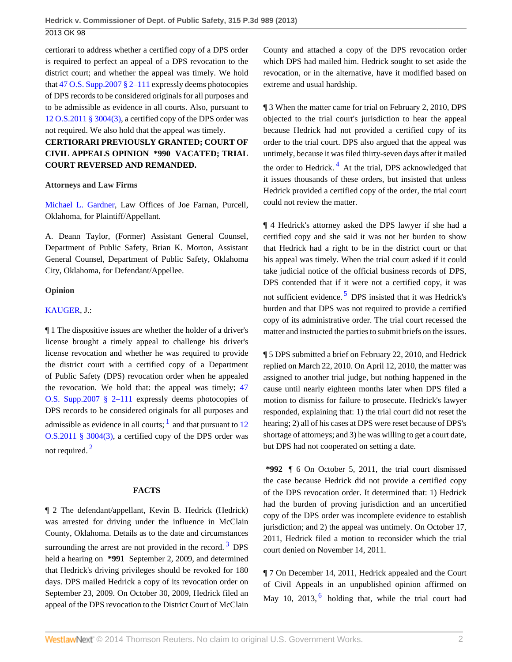certiorari to address whether a certified copy of a DPS order is required to perfect an appeal of a DPS revocation to the district court; and whether the appeal was timely. We hold that [47 O.S. Supp.2007 § 2–111](http://www.westlaw.com/Link/Document/FullText?findType=L&pubNum=1000165&cite=OKSTT47S2-111&originatingDoc=I24ac18cf57f111e3b48bea39e86d4142&refType=LQ&originationContext=document&vr=3.0&rs=cblt1.0&transitionType=DocumentItem&contextData=(sc.Search)) expressly deems photocopies of DPS records to be considered originals for all purposes and to be admissible as evidence in all courts. Also, pursuant to [12 O.S.2011 § 3004\(3\),](http://www.westlaw.com/Link/Document/FullText?findType=L&pubNum=1000165&cite=OKSTT12S3004&originatingDoc=I24ac18cf57f111e3b48bea39e86d4142&refType=LQ&originationContext=document&vr=3.0&rs=cblt1.0&transitionType=DocumentItem&contextData=(sc.Search)) a certified copy of the DPS order was not required. We also hold that the appeal was timely.

# **CERTIORARI PREVIOUSLY GRANTED; COURT OF CIVIL APPEALS OPINION \*990 VACATED; TRIAL COURT REVERSED AND REMANDED.**

### **Attorneys and Law Firms**

[Michael L. Gardner](http://www.westlaw.com/Link/Document/FullText?findType=h&pubNum=176284&cite=0146824501&originatingDoc=I24ac18cf57f111e3b48bea39e86d4142&refType=RQ&originationContext=document&vr=3.0&rs=cblt1.0&transitionType=DocumentItem&contextData=(sc.Search)), Law Offices of Joe Farnan, Purcell, Oklahoma, for Plaintiff/Appellant.

A. Deann Taylor, (Former) Assistant General Counsel, Department of Public Safety, Brian K. Morton, Assistant General Counsel, Department of Public Safety, Oklahoma City, Oklahoma, for Defendant/Appellee.

### **Opinion**

### [KAUGER,](http://www.westlaw.com/Link/Document/FullText?findType=h&pubNum=176284&cite=0241378201&originatingDoc=I24ac18cf57f111e3b48bea39e86d4142&refType=RQ&originationContext=document&vr=3.0&rs=cblt1.0&transitionType=DocumentItem&contextData=(sc.Search)) J.:

¶ 1 The dispositive issues are whether the holder of a driver's license brought a timely appeal to challenge his driver's license revocation and whether he was required to provide the district court with a certified copy of a Department of Public Safety (DPS) revocation order when he appealed the revocation. We hold that: the appeal was timely; [47](http://www.westlaw.com/Link/Document/FullText?findType=L&pubNum=1000165&cite=OKSTT47S2-111&originatingDoc=I24ac18cf57f111e3b48bea39e86d4142&refType=LQ&originationContext=document&vr=3.0&rs=cblt1.0&transitionType=DocumentItem&contextData=(sc.Search)) [O.S. Supp.2007 § 2–111](http://www.westlaw.com/Link/Document/FullText?findType=L&pubNum=1000165&cite=OKSTT47S2-111&originatingDoc=I24ac18cf57f111e3b48bea39e86d4142&refType=LQ&originationContext=document&vr=3.0&rs=cblt1.0&transitionType=DocumentItem&contextData=(sc.Search)) expressly deems photocopies of DPS records to be considered originals for all purposes and admissible as evidence in all courts;  $\frac{1}{1}$  $\frac{1}{1}$  $\frac{1}{1}$  and that pursuant to [12](http://www.westlaw.com/Link/Document/FullText?findType=L&pubNum=1000165&cite=OKSTT12S3004&originatingDoc=I24ac18cf57f111e3b48bea39e86d4142&refType=LQ&originationContext=document&vr=3.0&rs=cblt1.0&transitionType=DocumentItem&contextData=(sc.Search)) [O.S.2011 § 3004\(3\)](http://www.westlaw.com/Link/Document/FullText?findType=L&pubNum=1000165&cite=OKSTT12S3004&originatingDoc=I24ac18cf57f111e3b48bea39e86d4142&refType=LQ&originationContext=document&vr=3.0&rs=cblt1.0&transitionType=DocumentItem&contextData=(sc.Search)), a certified copy of the DPS order was not required. [2](#page-10-0)

#### <span id="page-1-1"></span><span id="page-1-0"></span>**FACTS**

¶ 2 The defendant/appellant, Kevin B. Hedrick (Hedrick) was arrested for driving under the influence in McClain County, Oklahoma. Details as to the date and circumstances surrounding the arrest are not provided in the record.<sup>[3](#page-10-1)</sup> DPS held a hearing on **\*991** September 2, 2009, and determined that Hedrick's driving privileges should be revoked for 180 days. DPS mailed Hedrick a copy of its revocation order on September 23, 2009. On October 30, 2009, Hedrick filed an appeal of the DPS revocation to the District Court of McClain County and attached a copy of the DPS revocation order which DPS had mailed him. Hedrick sought to set aside the revocation, or in the alternative, have it modified based on extreme and usual hardship.

<span id="page-1-3"></span>¶ 3 When the matter came for trial on February 2, 2010, DPS objected to the trial court's jurisdiction to hear the appeal because Hedrick had not provided a certified copy of its order to the trial court. DPS also argued that the appeal was untimely, because it was filed thirty-seven days after it mailed the order to Hedrick.<sup>[4](#page-10-2)</sup> At the trial, DPS acknowledged that it issues thousands of these orders, but insisted that unless Hedrick provided a certified copy of the order, the trial court could not review the matter.

¶ 4 Hedrick's attorney asked the DPS lawyer if she had a certified copy and she said it was not her burden to show that Hedrick had a right to be in the district court or that his appeal was timely. When the trial court asked if it could take judicial notice of the official business records of DPS, DPS contended that if it were not a certified copy, it was not sufficient evidence.<sup>[5](#page-10-3)</sup> DPS insisted that it was Hedrick's burden and that DPS was not required to provide a certified copy of its administrative order. The trial court recessed the matter and instructed the parties to submit briefs on the issues.

<span id="page-1-4"></span>¶ 5 DPS submitted a brief on February 22, 2010, and Hedrick replied on March 22, 2010. On April 12, 2010, the matter was assigned to another trial judge, but nothing happened in the cause until nearly eighteen months later when DPS filed a motion to dismiss for failure to prosecute. Hedrick's lawyer responded, explaining that: 1) the trial court did not reset the hearing; 2) all of his cases at DPS were reset because of DPS's shortage of attorneys; and 3) he was willing to get a court date, but DPS had not cooperated on setting a date.

**\*992** ¶ 6 On October 5, 2011, the trial court dismissed the case because Hedrick did not provide a certified copy of the DPS revocation order. It determined that: 1) Hedrick had the burden of proving jurisdiction and an uncertified copy of the DPS order was incomplete evidence to establish jurisdiction; and 2) the appeal was untimely. On October 17, 2011, Hedrick filed a motion to reconsider which the trial court denied on November 14, 2011.

<span id="page-1-5"></span><span id="page-1-2"></span>¶ 7 On December 14, 2011, Hedrick appealed and the Court of Civil Appeals in an unpublished opinion affirmed on May 10, 2013, $<sup>6</sup>$  $<sup>6</sup>$  $<sup>6</sup>$  holding that, while the trial court had</sup>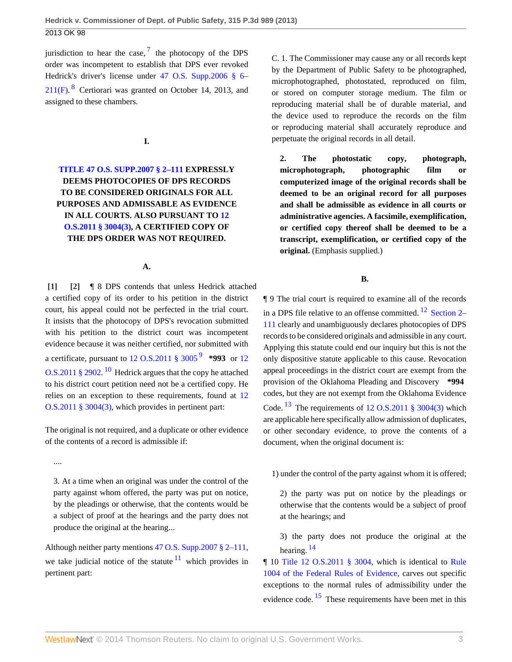<span id="page-2-3"></span>jurisdiction to hear the case,  $\frac{7}{1}$  $\frac{7}{1}$  $\frac{7}{1}$  the photocopy of the DPS order was incompetent to establish that DPS ever revoked Hedrick's driver's license under [47 O.S. Supp.2006 § 6–](http://www.westlaw.com/Link/Document/FullText?findType=L&pubNum=1000165&cite=OKSTT47S6-211&originatingDoc=I24ac18cf57f111e3b48bea39e86d4142&refType=LQ&originationContext=document&vr=3.0&rs=cblt1.0&transitionType=DocumentItem&contextData=(sc.Search))  $211(F)$ . <sup>[8](#page-11-0)</sup> Certiorari was granted on October 14, 2013, and assigned to these chambers.

<span id="page-2-2"></span>**I.**

# **[TITLE 47 O.S. SUPP.2007 § 2–111](http://www.westlaw.com/Link/Document/FullText?findType=L&pubNum=1000165&cite=OKSTT47S2-111&originatingDoc=I24ac18cf57f111e3b48bea39e86d4142&refType=LQ&originationContext=document&vr=3.0&rs=cblt1.0&transitionType=DocumentItem&contextData=(sc.Search)) EXPRESSLY DEEMS PHOTOCOPIES OF DPS RECORDS TO BE CONSIDERED ORIGINALS FOR ALL PURPOSES AND ADMISSABLE AS EVIDENCE IN ALL COURTS. ALSO PURSUANT TO [12](http://www.westlaw.com/Link/Document/FullText?findType=L&pubNum=1000165&cite=OKSTT12S3004&originatingDoc=I24ac18cf57f111e3b48bea39e86d4142&refType=LQ&originationContext=document&vr=3.0&rs=cblt1.0&transitionType=DocumentItem&contextData=(sc.Search)) [O.S.2011 § 3004\(3\),](http://www.westlaw.com/Link/Document/FullText?findType=L&pubNum=1000165&cite=OKSTT12S3004&originatingDoc=I24ac18cf57f111e3b48bea39e86d4142&refType=LQ&originationContext=document&vr=3.0&rs=cblt1.0&transitionType=DocumentItem&contextData=(sc.Search)) A CERTIFIED COPY OF THE DPS ORDER WAS NOT REQUIRED.**

### **A.**

<span id="page-2-1"></span><span id="page-2-0"></span>**[\[1\]](#page-0-0) [\[2\]](#page-0-1)** ¶ 8 DPS contends that unless Hedrick attached a certified copy of its order to his petition in the district court, his appeal could not be perfected in the trial court. It insists that the photocopy of DPS's revocation submitted with his petition to the district court was incompetent evidence because it was neither certified, nor submitted with a certificate, pursuant to [12 O.S.2011 § 3005](http://www.westlaw.com/Link/Document/FullText?findType=L&pubNum=1000165&cite=OKSTT12S3005&originatingDoc=I24ac18cf57f111e3b48bea39e86d4142&refType=LQ&originationContext=document&vr=3.0&rs=cblt1.0&transitionType=DocumentItem&contextData=(sc.Search)) [9](#page-11-1) **\*993** or [12](http://www.westlaw.com/Link/Document/FullText?findType=L&pubNum=1000165&cite=OKSTT12S2902&originatingDoc=I24ac18cf57f111e3b48bea39e86d4142&refType=LQ&originationContext=document&vr=3.0&rs=cblt1.0&transitionType=DocumentItem&contextData=(sc.Search)) [O.S.2011 § 2902.](http://www.westlaw.com/Link/Document/FullText?findType=L&pubNum=1000165&cite=OKSTT12S2902&originatingDoc=I24ac18cf57f111e3b48bea39e86d4142&refType=LQ&originationContext=document&vr=3.0&rs=cblt1.0&transitionType=DocumentItem&contextData=(sc.Search))<sup>[10](#page-11-2)</sup> Hedrick argues that the copy he attached to his district court petition need not be a certified copy. He relies on an exception to these requirements, found at [12](http://www.westlaw.com/Link/Document/FullText?findType=L&pubNum=1000165&cite=OKSTT12S3004&originatingDoc=I24ac18cf57f111e3b48bea39e86d4142&refType=LQ&originationContext=document&vr=3.0&rs=cblt1.0&transitionType=DocumentItem&contextData=(sc.Search)) [O.S.2011 § 3004\(3\)](http://www.westlaw.com/Link/Document/FullText?findType=L&pubNum=1000165&cite=OKSTT12S3004&originatingDoc=I24ac18cf57f111e3b48bea39e86d4142&refType=LQ&originationContext=document&vr=3.0&rs=cblt1.0&transitionType=DocumentItem&contextData=(sc.Search)), which provides in pertinent part:

<span id="page-2-5"></span>The original is not required, and a duplicate or other evidence of the contents of a record is admissible if:

....

3. At a time when an original was under the control of the party against whom offered, the party was put on notice, by the pleadings or otherwise, that the contents would be a subject of proof at the hearings and the party does not produce the original at the hearing...

Although neither party mentions [47 O.S. Supp.2007 § 2–111](http://www.westlaw.com/Link/Document/FullText?findType=L&pubNum=1000165&cite=OKSTT47S2-111&originatingDoc=I24ac18cf57f111e3b48bea39e86d4142&refType=LQ&originationContext=document&vr=3.0&rs=cblt1.0&transitionType=DocumentItem&contextData=(sc.Search)), we take judicial notice of the statute  $11$  which provides in pertinent part:

C. 1. The Commissioner may cause any or all records kept by the Department of Public Safety to be photographed, microphotographed, photostated, reproduced on film, or stored on computer storage medium. The film or reproducing material shall be of durable material, and the device used to reproduce the records on the film or reproducing material shall accurately reproduce and perpetuate the original records in all detail.

**2. The photostatic copy, photograph, microphotograph, photographic film or computerized image of the original records shall be deemed to be an original record for all purposes and shall be admissible as evidence in all courts or administrative agencies. A facsimile, exemplification, or certified copy thereof shall be deemed to be a transcript, exemplification, or certified copy of the original.** (Emphasis supplied.)

<span id="page-2-7"></span>**B.**

<span id="page-2-4"></span>¶ 9 The trial court is required to examine all of the records in a DPS file relative to an offense committed.  $^{12}$  $^{12}$  $^{12}$  [Section 2–](http://www.westlaw.com/Link/Document/FullText?findType=L&pubNum=1000165&cite=OKSTT47S2-111&originatingDoc=I24ac18cf57f111e3b48bea39e86d4142&refType=LQ&originationContext=document&vr=3.0&rs=cblt1.0&transitionType=DocumentItem&contextData=(sc.Search)) [111](http://www.westlaw.com/Link/Document/FullText?findType=L&pubNum=1000165&cite=OKSTT47S2-111&originatingDoc=I24ac18cf57f111e3b48bea39e86d4142&refType=LQ&originationContext=document&vr=3.0&rs=cblt1.0&transitionType=DocumentItem&contextData=(sc.Search)) clearly and unambiguously declares photocopies of DPS records to be considered originals and admissible in any court. Applying this statute could end our inquiry but this is not the only dispositive statute applicable to this cause. Revocation appeal proceedings in the district court are exempt from the provision of the Oklahoma Pleading and Discovery **\*994** codes, but they are not exempt from the Oklahoma Evidence Code.  $^{13}$  $^{13}$  $^{13}$  The requirements of [12 O.S.2011 § 3004\(3\)](http://www.westlaw.com/Link/Document/FullText?findType=L&pubNum=1000165&cite=OKSTT12S3004&originatingDoc=I24ac18cf57f111e3b48bea39e86d4142&refType=LQ&originationContext=document&vr=3.0&rs=cblt1.0&transitionType=DocumentItem&contextData=(sc.Search)) which are applicable here specifically allow admission of duplicates, or other secondary evidence, to prove the contents of a document, when the original document is:

<span id="page-2-8"></span>1) under the control of the party against whom it is offered;

2) the party was put on notice by the pleadings or otherwise that the contents would be a subject of proof at the hearings; and

<span id="page-2-9"></span>3) the party does not produce the original at the hearing.  $^{14}$  $^{14}$  $^{14}$ 

<span id="page-2-10"></span><span id="page-2-6"></span>¶ 10 [Title 12 O.S.2011 § 3004](http://www.westlaw.com/Link/Document/FullText?findType=L&pubNum=1000165&cite=OKSTT12S3004&originatingDoc=I24ac18cf57f111e3b48bea39e86d4142&refType=LQ&originationContext=document&vr=3.0&rs=cblt1.0&transitionType=DocumentItem&contextData=(sc.Search)), which is identical to [Rule](http://www.westlaw.com/Link/Document/FullText?findType=L&pubNum=1000607&cite=USFRER1004&originatingDoc=I24ac18cf57f111e3b48bea39e86d4142&refType=LQ&originationContext=document&vr=3.0&rs=cblt1.0&transitionType=DocumentItem&contextData=(sc.Search)) [1004 of the Federal Rules of Evidence](http://www.westlaw.com/Link/Document/FullText?findType=L&pubNum=1000607&cite=USFRER1004&originatingDoc=I24ac18cf57f111e3b48bea39e86d4142&refType=LQ&originationContext=document&vr=3.0&rs=cblt1.0&transitionType=DocumentItem&contextData=(sc.Search)), carves out specific exceptions to the normal rules of admissibility under the evidence code. <sup>[15](#page-12-1)</sup> These requirements have been met in this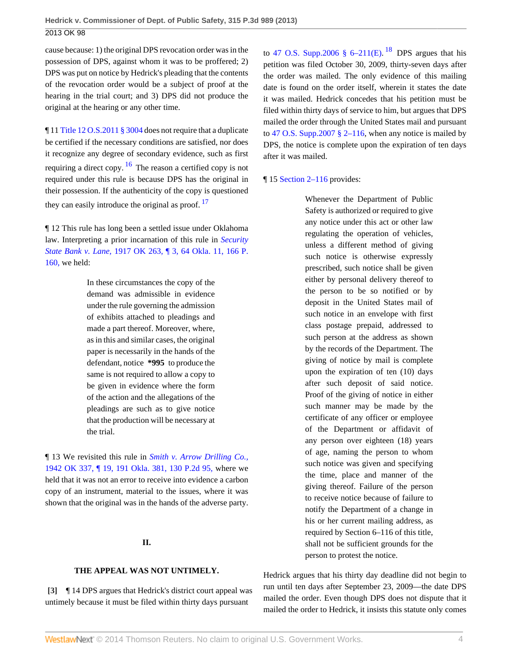cause because: 1) the original DPS revocation order was in the possession of DPS, against whom it was to be proffered; 2) DPS was put on notice by Hedrick's pleading that the contents of the revocation order would be a subject of proof at the hearing in the trial court; and 3) DPS did not produce the original at the hearing or any other time.

<span id="page-3-1"></span>¶ 11 [Title 12 O.S.2011 § 3004](http://www.westlaw.com/Link/Document/FullText?findType=L&pubNum=1000165&cite=OKSTT12S3004&originatingDoc=I24ac18cf57f111e3b48bea39e86d4142&refType=LQ&originationContext=document&vr=3.0&rs=cblt1.0&transitionType=DocumentItem&contextData=(sc.Search)) does not require that a duplicate be certified if the necessary conditions are satisfied, nor does it recognize any degree of secondary evidence, such as first requiring a direct copy.  $\frac{16}{16}$  $\frac{16}{16}$  $\frac{16}{16}$  The reason a certified copy is not required under this rule is because DPS has the original in their possession. If the authenticity of the copy is questioned they can easily introduce the original as proof.  $17$ 

¶ 12 This rule has long been a settled issue under Oklahoma law. Interpreting a prior incarnation of this rule in *[Security](http://www.westlaw.com/Link/Document/FullText?findType=Y&serNum=1917022642&pubNum=660&originationContext=document&vr=3.0&rs=cblt1.0&transitionType=DocumentItem&contextData=(sc.Search)) State Bank v. Lane,* [1917 OK 263, ¶ 3, 64 Okla. 11, 166 P.](http://www.westlaw.com/Link/Document/FullText?findType=Y&serNum=1917022642&pubNum=660&originationContext=document&vr=3.0&rs=cblt1.0&transitionType=DocumentItem&contextData=(sc.Search)) [160,](http://www.westlaw.com/Link/Document/FullText?findType=Y&serNum=1917022642&pubNum=660&originationContext=document&vr=3.0&rs=cblt1.0&transitionType=DocumentItem&contextData=(sc.Search)) we held:

> In these circumstances the copy of the demand was admissible in evidence under the rule governing the admission of exhibits attached to pleadings and made a part thereof. Moreover, where, as in this and similar cases, the original paper is necessarily in the hands of the defendant, notice **\*995** to produce the same is not required to allow a copy to be given in evidence where the form of the action and the allegations of the pleadings are such as to give notice that the production will be necessary at the trial.

¶ 13 We revisited this rule in *[Smith v. Arrow Drilling Co.,](http://www.westlaw.com/Link/Document/FullText?findType=Y&serNum=1911103079&pubNum=661&originationContext=document&vr=3.0&rs=cblt1.0&transitionType=DocumentItem&contextData=(sc.Search))* [1942 OK 337, ¶ 19, 191 Okla. 381, 130 P.2d 95,](http://www.westlaw.com/Link/Document/FullText?findType=Y&serNum=1911103079&pubNum=661&originationContext=document&vr=3.0&rs=cblt1.0&transitionType=DocumentItem&contextData=(sc.Search)) where we held that it was not an error to receive into evidence a carbon copy of an instrument, material to the issues, where it was shown that the original was in the hands of the adverse party.

### **II.**

## <span id="page-3-0"></span>**THE APPEAL WAS NOT UNTIMELY.**

**[\[3\]](#page-0-2)** ¶ 14 DPS argues that Hedrick's district court appeal was untimely because it must be filed within thirty days pursuant

<span id="page-3-3"></span>to 47 O.S. Supp.2006  $\S$  6–211(E). <sup>[18](#page-12-4)</sup> DPS argues that his petition was filed October 30, 2009, thirty-seven days after the order was mailed. The only evidence of this mailing date is found on the order itself, wherein it states the date it was mailed. Hedrick concedes that his petition must be filed within thirty days of service to him, but argues that DPS mailed the order through the United States mail and pursuant to 47 O.S. Supp.2007  $\S$  2–116, when any notice is mailed by DPS, the notice is complete upon the expiration of ten days after it was mailed.

### <span id="page-3-2"></span>¶ 15 [Section 2–116](http://www.westlaw.com/Link/Document/FullText?findType=L&pubNum=1000165&cite=OKSTT47S2-116&originatingDoc=I24ac18cf57f111e3b48bea39e86d4142&refType=LQ&originationContext=document&vr=3.0&rs=cblt1.0&transitionType=DocumentItem&contextData=(sc.Search)) provides:

Whenever the Department of Public Safety is authorized or required to give any notice under this act or other law regulating the operation of vehicles, unless a different method of giving such notice is otherwise expressly prescribed, such notice shall be given either by personal delivery thereof to the person to be so notified or by deposit in the United States mail of such notice in an envelope with first class postage prepaid, addressed to such person at the address as shown by the records of the Department. The giving of notice by mail is complete upon the expiration of ten (10) days after such deposit of said notice. Proof of the giving of notice in either such manner may be made by the certificate of any officer or employee of the Department or affidavit of any person over eighteen (18) years of age, naming the person to whom such notice was given and specifying the time, place and manner of the giving thereof. Failure of the person to receive notice because of failure to notify the Department of a change in his or her current mailing address, as required by Section 6–116 of this title, shall not be sufficient grounds for the person to protest the notice.

Hedrick argues that his thirty day deadline did not begin to run until ten days after September 23, 2009—the date DPS mailed the order. Even though DPS does not dispute that it mailed the order to Hedrick, it insists this statute only comes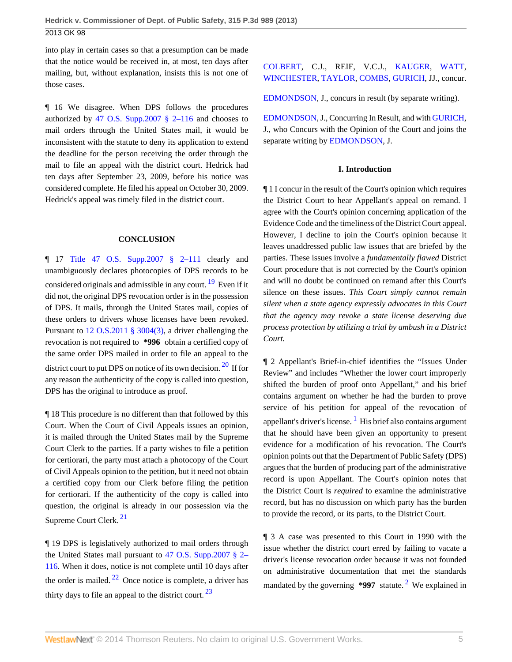into play in certain cases so that a presumption can be made that the notice would be received in, at most, ten days after mailing, but, without explanation, insists this is not one of those cases.

¶ 16 We disagree. When DPS follows the procedures authorized by 47 O.S. Supp.2007  $\S$  2–116 and chooses to mail orders through the United States mail, it would be inconsistent with the statute to deny its application to extend the deadline for the person receiving the order through the mail to file an appeal with the district court. Hedrick had ten days after September 23, 2009, before his notice was considered complete. He filed his appeal on October 30, 2009. Hedrick's appeal was timely filed in the district court.

### <span id="page-4-0"></span>**CONCLUSION**

 $\P$  17 [Title 47 O.S. Supp.2007 § 2–111](http://www.westlaw.com/Link/Document/FullText?findType=L&pubNum=1000165&cite=OKSTT47S2-111&originatingDoc=I24ac18cf57f111e3b48bea39e86d4142&refType=LQ&originationContext=document&vr=3.0&rs=cblt1.0&transitionType=DocumentItem&contextData=(sc.Search)) clearly and unambiguously declares photocopies of DPS records to be considered originals and admissible in any court. <sup>[19](#page-12-5)</sup> Even if it did not, the original DPS revocation order is in the possession of DPS. It mails, through the United States mail, copies of these orders to drivers whose licenses have been revoked. Pursuant to [12 O.S.2011 § 3004\(3\),](http://www.westlaw.com/Link/Document/FullText?findType=L&pubNum=1000165&cite=OKSTT12S3004&originatingDoc=I24ac18cf57f111e3b48bea39e86d4142&refType=LQ&originationContext=document&vr=3.0&rs=cblt1.0&transitionType=DocumentItem&contextData=(sc.Search)) a driver challenging the revocation is not required to **\*996** obtain a certified copy of the same order DPS mailed in order to file an appeal to the district court to put DPS on notice of its own decision.  $20$  If for any reason the authenticity of the copy is called into question, DPS has the original to introduce as proof.

¶ 18 This procedure is no different than that followed by this Court. When the Court of Civil Appeals issues an opinion, it is mailed through the United States mail by the Supreme Court Clerk to the parties. If a party wishes to file a petition for certiorari, the party must attach a photocopy of the Court of Civil Appeals opinion to the petition, but it need not obtain a certified copy from our Clerk before filing the petition for certiorari. If the authenticity of the copy is called into question, the original is already in our possession via the Supreme Court Clerk. [21](#page-12-7)

<span id="page-4-3"></span><span id="page-4-2"></span>¶ 19 DPS is legislatively authorized to mail orders through the United States mail pursuant to [47 O.S. Supp.2007 § 2–](http://www.westlaw.com/Link/Document/FullText?findType=L&pubNum=1000165&cite=OKSTT47S2-116&originatingDoc=I24ac18cf57f111e3b48bea39e86d4142&refType=LQ&originationContext=document&vr=3.0&rs=cblt1.0&transitionType=DocumentItem&contextData=(sc.Search)) [116](http://www.westlaw.com/Link/Document/FullText?findType=L&pubNum=1000165&cite=OKSTT47S2-116&originatingDoc=I24ac18cf57f111e3b48bea39e86d4142&refType=LQ&originationContext=document&vr=3.0&rs=cblt1.0&transitionType=DocumentItem&contextData=(sc.Search)). When it does, notice is not complete until 10 days after the order is mailed.  $22$  Once notice is complete, a driver has thirty days to file an appeal to the district court.  $23$ 

## [COLBERT,](http://www.westlaw.com/Link/Document/FullText?findType=h&pubNum=176284&cite=0280576601&originatingDoc=I24ac18cf57f111e3b48bea39e86d4142&refType=RQ&originationContext=document&vr=3.0&rs=cblt1.0&transitionType=DocumentItem&contextData=(sc.Search)) C.J., REIF, V.C.J., [KAUGER](http://www.westlaw.com/Link/Document/FullText?findType=h&pubNum=176284&cite=0241378201&originatingDoc=I24ac18cf57f111e3b48bea39e86d4142&refType=RQ&originationContext=document&vr=3.0&rs=cblt1.0&transitionType=DocumentItem&contextData=(sc.Search)), [WATT,](http://www.westlaw.com/Link/Document/FullText?findType=h&pubNum=176284&cite=0176177301&originatingDoc=I24ac18cf57f111e3b48bea39e86d4142&refType=RQ&originationContext=document&vr=3.0&rs=cblt1.0&transitionType=DocumentItem&contextData=(sc.Search)) [WINCHESTER](http://www.westlaw.com/Link/Document/FullText?findType=h&pubNum=176284&cite=0126784101&originatingDoc=I24ac18cf57f111e3b48bea39e86d4142&refType=RQ&originationContext=document&vr=3.0&rs=cblt1.0&transitionType=DocumentItem&contextData=(sc.Search)), [TAYLOR,](http://www.westlaw.com/Link/Document/FullText?findType=h&pubNum=176284&cite=0169500901&originatingDoc=I24ac18cf57f111e3b48bea39e86d4142&refType=RQ&originationContext=document&vr=3.0&rs=cblt1.0&transitionType=DocumentItem&contextData=(sc.Search)) [COMBS,](http://www.westlaw.com/Link/Document/FullText?findType=h&pubNum=176284&cite=0143190401&originatingDoc=I24ac18cf57f111e3b48bea39e86d4142&refType=RQ&originationContext=document&vr=3.0&rs=cblt1.0&transitionType=DocumentItem&contextData=(sc.Search)) [GURICH](http://www.westlaw.com/Link/Document/FullText?findType=h&pubNum=176284&cite=0180213701&originatingDoc=I24ac18cf57f111e3b48bea39e86d4142&refType=RQ&originationContext=document&vr=3.0&rs=cblt1.0&transitionType=DocumentItem&contextData=(sc.Search)), JJ., concur.

[EDMONDSON,](http://www.westlaw.com/Link/Document/FullText?findType=h&pubNum=176284&cite=0176202101&originatingDoc=I24ac18cf57f111e3b48bea39e86d4142&refType=RQ&originationContext=document&vr=3.0&rs=cblt1.0&transitionType=DocumentItem&contextData=(sc.Search)) J., concurs in result (by separate writing).

[EDMONDSON,](http://www.westlaw.com/Link/Document/FullText?findType=h&pubNum=176284&cite=0176202101&originatingDoc=I24ac18cf57f111e3b48bea39e86d4142&refType=RQ&originationContext=document&vr=3.0&rs=cblt1.0&transitionType=DocumentItem&contextData=(sc.Search)) J., Concurring In Result, and with [GURICH,](http://www.westlaw.com/Link/Document/FullText?findType=h&pubNum=176284&cite=0180213701&originatingDoc=I24ac18cf57f111e3b48bea39e86d4142&refType=RQ&originationContext=document&vr=3.0&rs=cblt1.0&transitionType=DocumentItem&contextData=(sc.Search)) J., who Concurs with the Opinion of the Court and joins the separate writing by [EDMONDSON](http://www.westlaw.com/Link/Document/FullText?findType=h&pubNum=176284&cite=0176202101&originatingDoc=I24ac18cf57f111e3b48bea39e86d4142&refType=RQ&originationContext=document&vr=3.0&rs=cblt1.0&transitionType=DocumentItem&contextData=(sc.Search)), J.

### **I. Introduction**

¶ 1 I concur in the result of the Court's opinion which requires the District Court to hear Appellant's appeal on remand. I agree with the Court's opinion concerning application of the Evidence Code and the timeliness of the District Court appeal. However, I decline to join the Court's opinion because it leaves unaddressed public law issues that are briefed by the parties. These issues involve a *fundamentally flawed* District Court procedure that is not corrected by the Court's opinion and will no doubt be continued on remand after this Court's silence on these issues. *This Court simply cannot remain silent when a state agency expressly advocates in this Court that the agency may revoke a state license deserving due process protection by utilizing a trial by ambush in a District Court.*

<span id="page-4-5"></span><span id="page-4-1"></span>¶ 2 Appellant's Brief-in-chief identifies the "Issues Under Review" and includes "Whether the lower court improperly shifted the burden of proof onto Appellant," and his brief contains argument on whether he had the burden to prove service of his petition for appeal of the revocation of appellant's driver's license. <sup>[1](#page-12-10)</sup> His brief also contains argument that he should have been given an opportunity to present evidence for a modification of his revocation. The Court's opinion points out that the Department of Public Safety (DPS) argues that the burden of producing part of the administrative record is upon Appellant. The Court's opinion notes that the District Court is *required* to examine the administrative record, but has no discussion on which party has the burden to provide the record, or its parts, to the District Court.

<span id="page-4-6"></span><span id="page-4-4"></span>¶ 3 A case was presented to this Court in 1990 with the issue whether the district court erred by failing to vacate a driver's license revocation order because it was not founded on administrative documentation that met the standards mandated by the governing \*997 statute.<sup>[2](#page-12-11)</sup> We explained in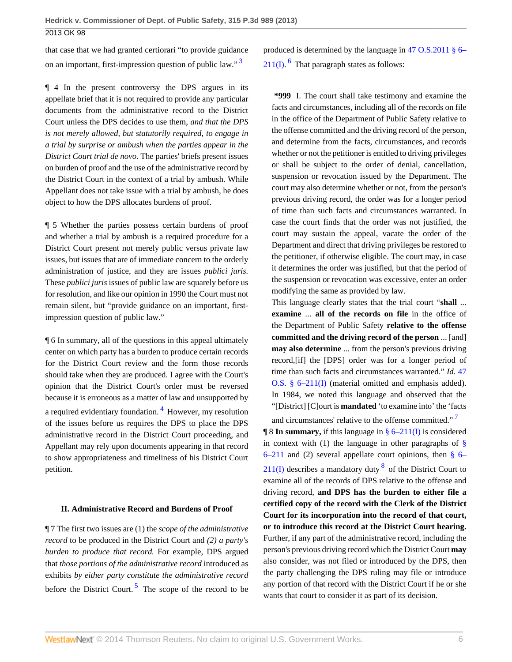that case that we had granted certiorari "to provide guidance on an important, first-impression question of public law."<sup>[3](#page-12-12)</sup>

¶ 4 In the present controversy the DPS argues in its appellate brief that it is not required to provide any particular documents from the administrative record to the District Court unless the DPS decides to use them, *and that the DPS is not merely allowed, but statutorily required, to engage in a trial by surprise or ambush when the parties appear in the District Court trial de novo.* The parties' briefs present issues on burden of proof and the use of the administrative record by the District Court in the context of a trial by ambush. While Appellant does not take issue with a trial by ambush, he does object to how the DPS allocates burdens of proof.

¶ 5 Whether the parties possess certain burdens of proof and whether a trial by ambush is a required procedure for a District Court present not merely public versus private law issues, but issues that are of immediate concern to the orderly administration of justice, and they are issues *publici juris.* These *publici juris* issues of public law are squarely before us for resolution, and like our opinion in 1990 the Court must not remain silent, but "provide guidance on an important, firstimpression question of public law."

¶ 6 In summary, all of the questions in this appeal ultimately center on which party has a burden to produce certain records for the District Court review and the form those records should take when they are produced. I agree with the Court's opinion that the District Court's order must be reversed because it is erroneous as a matter of law and unsupported by a required evidentiary foundation.<sup>[4](#page-12-13)</sup> However, my resolution of the issues before us requires the DPS to place the DPS administrative record in the District Court proceeding, and Appellant may rely upon documents appearing in that record to show appropriateness and timeliness of his District Court petition.

### **II. Administrative Record and Burdens of Proof**

<span id="page-5-2"></span>¶ 7 The first two issues are (1) the *scope of the administrative record* to be produced in the District Court and *(2) a party's burden to produce that record.* For example, DPS argued that *those portions of the administrative record* introduced as exhibits *by either party constitute the administrative record* before the District Court.<sup>[5](#page-12-14)</sup> The scope of the record to be

<span id="page-5-3"></span><span id="page-5-0"></span>produced is determined by the language in [47 O.S.2011 § 6–](http://www.westlaw.com/Link/Document/FullText?findType=L&pubNum=1000165&cite=OKSTT47S6-211&originatingDoc=I24ac18cf57f111e3b48bea39e86d4142&refType=LQ&originationContext=document&vr=3.0&rs=cblt1.0&transitionType=DocumentItem&contextData=(sc.Search))  $211(I)$ . <sup>[6](#page-12-15)</sup> That paragraph states as follows:

**\*999** I. The court shall take testimony and examine the facts and circumstances, including all of the records on file in the office of the Department of Public Safety relative to the offense committed and the driving record of the person, and determine from the facts, circumstances, and records whether or not the petitioner is entitled to driving privileges or shall be subject to the order of denial, cancellation, suspension or revocation issued by the Department. The court may also determine whether or not, from the person's previous driving record, the order was for a longer period of time than such facts and circumstances warranted. In case the court finds that the order was not justified, the court may sustain the appeal, vacate the order of the Department and direct that driving privileges be restored to the petitioner, if otherwise eligible. The court may, in case it determines the order was justified, but that the period of the suspension or revocation was excessive, enter an order modifying the same as provided by law.

This language clearly states that the trial court "**shall** ... **examine** ... **all of the records on file** in the office of the Department of Public Safety **relative to the offense committed and the driving record of the person** ... [and] **may also determine** ... from the person's previous driving record,[if] the [DPS] order was for a longer period of time than such facts and circumstances warranted." *Id.* [47](http://www.westlaw.com/Link/Document/FullText?findType=L&pubNum=1000165&cite=OKSTT47S6-211&originatingDoc=I24ac18cf57f111e3b48bea39e86d4142&refType=LQ&originationContext=document&vr=3.0&rs=cblt1.0&transitionType=DocumentItem&contextData=(sc.Search)) [O.S. § 6–211\(I\)](http://www.westlaw.com/Link/Document/FullText?findType=L&pubNum=1000165&cite=OKSTT47S6-211&originatingDoc=I24ac18cf57f111e3b48bea39e86d4142&refType=LQ&originationContext=document&vr=3.0&rs=cblt1.0&transitionType=DocumentItem&contextData=(sc.Search)) (material omitted and emphasis added). In 1984, we noted this language and observed that the "[District] [C]ourt is **mandated** 'to examine into' the 'facts

<span id="page-5-5"></span><span id="page-5-4"></span><span id="page-5-1"></span>and circumstances' relative to the offense committed."<sup>[7](#page-14-0)</sup> ¶ 8 **In summary,** if this language in [§ 6–211\(I\)](http://www.westlaw.com/Link/Document/FullText?findType=L&pubNum=1000165&cite=OKSTT47S6-211&originatingDoc=I24ac18cf57f111e3b48bea39e86d4142&refType=LQ&originationContext=document&vr=3.0&rs=cblt1.0&transitionType=DocumentItem&contextData=(sc.Search)) is considered in context with (1) the language in other paragraphs of  $\S$  $6-211$  and (2) several appellate court opinions, then §  $6 211(I)$  describes a mandatory duty  $8$  of the District Court to examine all of the records of DPS relative to the offense and driving record, **and DPS has the burden to either file a certified copy of the record with the Clerk of the District Court for its incorporation into the record of that court, or to introduce this record at the District Court hearing.** Further, if any part of the administrative record, including the person's previous driving record which the District Court **may** also consider, was not filed or introduced by the DPS, then the party challenging the DPS ruling may file or introduce any portion of that record with the District Court if he or she wants that court to consider it as part of its decision.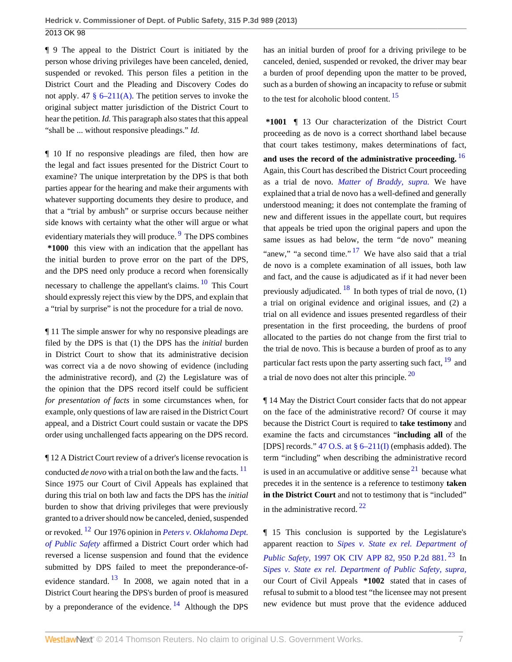¶ 9 The appeal to the District Court is initiated by the person whose driving privileges have been canceled, denied, suspended or revoked. This person files a petition in the District Court and the Pleading and Discovery Codes do not apply. 47  $\S$  6–211(A). The petition serves to invoke the original subject matter jurisdiction of the District Court to hear the petition. *Id.* This paragraph also states that this appeal "shall be ... without responsive pleadings." *Id.*

¶ 10 If no responsive pleadings are filed, then how are the legal and fact issues presented for the District Court to examine? The unique interpretation by the DPS is that both parties appear for the hearing and make their arguments with whatever supporting documents they desire to produce, and that a "trial by ambush" or surprise occurs because neither side knows with certainty what the other will argue or what evidentiary materials they will produce. <sup>[9](#page-14-2)</sup> The DPS combines **\*1000** this view with an indication that the appellant has the initial burden to prove error on the part of the DPS, and the DPS need only produce a record when forensically necessary to challenge the appellant's claims.  $\frac{10}{10}$  $\frac{10}{10}$  $\frac{10}{10}$  This Court should expressly reject this view by the DPS, and explain that a "trial by surprise" is not the procedure for a trial de novo.

¶ 11 The simple answer for why no responsive pleadings are filed by the DPS is that (1) the DPS has the *initial* burden in District Court to show that its administrative decision was correct via a de novo showing of evidence (including the administrative record), and (2) the Legislature was of the opinion that the DPS record itself could be sufficient *for presentation of facts* in some circumstances when, for example, only questions of law are raised in the District Court appeal, and a District Court could sustain or vacate the DPS order using unchallenged facts appearing on the DPS record.

<span id="page-6-4"></span><span id="page-6-3"></span>¶ 12 A District Court review of a driver's license revocation is conducted *de novo* with a trial on both the law and the facts.  $\frac{11}{1}$  $\frac{11}{1}$  $\frac{11}{1}$ Since 1975 our Court of Civil Appeals has explained that during this trial on both law and facts the DPS has the *initial* burden to show that driving privileges that were previously granted to a driver should now be canceled, denied, suspended or revoked. [12](#page-14-5) Our 1976 opinion in *[Peters v. Oklahoma Dept.](http://www.westlaw.com/Link/Document/FullText?findType=Y&serNum=1976134846&originationContext=document&vr=3.0&rs=cblt1.0&transitionType=DocumentItem&contextData=(sc.Search)) [of Public Safety](http://www.westlaw.com/Link/Document/FullText?findType=Y&serNum=1976134846&originationContext=document&vr=3.0&rs=cblt1.0&transitionType=DocumentItem&contextData=(sc.Search))* affirmed a District Court order which had reversed a license suspension and found that the evidence submitted by DPS failed to meet the preponderance-ofevidence standard.  $\frac{13}{12}$  $\frac{13}{12}$  $\frac{13}{12}$  In 2008, we again noted that in a District Court hearing the DPS's burden of proof is measured by a preponderance of the evidence.  $^{14}$  $^{14}$  $^{14}$  Although the DPS has an initial burden of proof for a driving privilege to be canceled, denied, suspended or revoked, the driver may bear a burden of proof depending upon the matter to be proved, such as a burden of showing an incapacity to refuse or submit to the test for alcoholic blood content.  $15$ 

<span id="page-6-8"></span><span id="page-6-7"></span><span id="page-6-6"></span><span id="page-6-0"></span>**\*1001** ¶ 13 Our characterization of the District Court proceeding as de novo is a correct shorthand label because that court takes testimony, makes determinations of fact, **and uses the record of the administrative proceeding.** [16](#page-14-9) Again, this Court has described the District Court proceeding as a trial de novo. *[Matter of Braddy, supra.](http://www.westlaw.com/Link/Document/FullText?findType=Y&serNum=1980114823&originationContext=document&vr=3.0&rs=cblt1.0&transitionType=DocumentItem&contextData=(sc.Search))* We have explained that a trial de novo has a well-defined and generally understood meaning; it does not contemplate the framing of new and different issues in the appellate court, but requires that appeals be tried upon the original papers and upon the same issues as had below, the term "de novo" meaning "anew," "a second time."  $17$  We have also said that a trial de novo is a complete examination of all issues, both law and fact, and the cause is adjudicated as if it had never been previously adjudicated.  $^{18}$  $^{18}$  $^{18}$  In both types of trial de novo, (1) a trial on original evidence and original issues, and (2) a trial on all evidence and issues presented regardless of their presentation in the first proceeding, the burdens of proof allocated to the parties do not change from the first trial to the trial de novo. This is because a burden of proof as to any particular fact rests upon the party asserting such fact,  $19$  and a trial de novo does not alter this principle. [20](#page-14-13)

<span id="page-6-11"></span><span id="page-6-10"></span><span id="page-6-9"></span><span id="page-6-1"></span>¶ 14 May the District Court consider facts that do not appear on the face of the administrative record? Of course it may because the District Court is required to **take testimony** and examine the facts and circumstances "**including all** of the [DPS] records." [47 O.S. at § 6–211\(I\)](http://www.westlaw.com/Link/Document/FullText?findType=L&pubNum=1000165&cite=OKSTT47S6-211&originatingDoc=I24ac18cf57f111e3b48bea39e86d4142&refType=LQ&originationContext=document&vr=3.0&rs=cblt1.0&transitionType=DocumentItem&contextData=(sc.Search)) (emphasis added). The term "including" when describing the administrative record is used in an accumulative or additive sense  $2<sup>1</sup>$  because what precedes it in the sentence is a reference to testimony **taken in the District Court** and not to testimony that is "included" in the administrative record.  $22$ 

<span id="page-6-14"></span><span id="page-6-13"></span><span id="page-6-12"></span><span id="page-6-5"></span><span id="page-6-2"></span>¶ 15 This conclusion is supported by the Legislature's apparent reaction to *[Sipes v. State ex rel. Department of](http://www.westlaw.com/Link/Document/FullText?findType=Y&serNum=1997248207&pubNum=661&originationContext=document&vr=3.0&rs=cblt1.0&transitionType=DocumentItem&contextData=(sc.Search)) Public Safety, [1997 OK CIV APP 82, 950 P.2d 881.](http://www.westlaw.com/Link/Document/FullText?findType=Y&serNum=1997248207&pubNum=661&originationContext=document&vr=3.0&rs=cblt1.0&transitionType=DocumentItem&contextData=(sc.Search))* <sup>[23](#page-15-0)</sup> In *[Sipes v. State ex rel. Department of Public Safety, supra,](http://www.westlaw.com/Link/Document/FullText?findType=Y&serNum=1997248207&originationContext=document&vr=3.0&rs=cblt1.0&transitionType=DocumentItem&contextData=(sc.Search))* our Court of Civil Appeals **\*1002** stated that in cases of refusal to submit to a blood test "the licensee may not present new evidence but must prove that the evidence adduced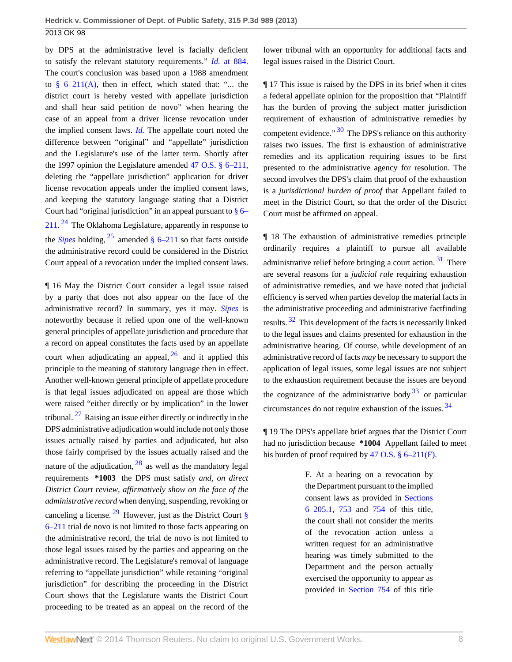by DPS at the administrative level is facially deficient to satisfy the relevant statutory requirements." *Id.* [at 884.](http://www.westlaw.com/Link/Document/FullText?findType=Y&serNum=1997248207&originationContext=document&vr=3.0&rs=cblt1.0&transitionType=DocumentItem&contextData=(sc.Search)) The court's conclusion was based upon a 1988 amendment to  $\frac{8}{9}$  6–211(A), then in effect, which stated that: "... the district court is hereby vested with appellate jurisdiction and shall hear said petition de novo" when hearing the case of an appeal from a driver license revocation under the implied consent laws. *[Id.](http://www.westlaw.com/Link/Document/FullText?findType=Y&serNum=1997248207&originationContext=document&vr=3.0&rs=cblt1.0&transitionType=DocumentItem&contextData=(sc.Search))* The appellate court noted the difference between "original" and "appellate" jurisdiction and the Legislature's use of the latter term. Shortly after the 1997 opinion the Legislature amended [47 O.S. § 6–211](http://www.westlaw.com/Link/Document/FullText?findType=L&pubNum=1000165&cite=OKSTT47S6-211&originatingDoc=I24ac18cf57f111e3b48bea39e86d4142&refType=LQ&originationContext=document&vr=3.0&rs=cblt1.0&transitionType=DocumentItem&contextData=(sc.Search)), deleting the "appellate jurisdiction" application for driver license revocation appeals under the implied consent laws, and keeping the statutory language stating that a District Court had "original jurisdiction" in an appeal pursuant to  $\S$  6– [211](http://www.westlaw.com/Link/Document/FullText?findType=L&pubNum=1000165&cite=OKSTT47S6-211&originatingDoc=I24ac18cf57f111e3b48bea39e86d4142&refType=LQ&originationContext=document&vr=3.0&rs=cblt1.0&transitionType=DocumentItem&contextData=(sc.Search)).<sup>[24](#page-15-1)</sup> The Oklahoma Legislature, apparently in response to the *[Sipes](http://www.westlaw.com/Link/Document/FullText?findType=Y&serNum=1997248207&originationContext=document&vr=3.0&rs=cblt1.0&transitionType=DocumentItem&contextData=(sc.Search))* holding,  $^{25}$  $^{25}$  $^{25}$  amended [§ 6–211](http://www.westlaw.com/Link/Document/FullText?findType=L&pubNum=1000165&cite=OKSTT47S6-211&originatingDoc=I24ac18cf57f111e3b48bea39e86d4142&refType=LQ&originationContext=document&vr=3.0&rs=cblt1.0&transitionType=DocumentItem&contextData=(sc.Search)) so that facts outside the administrative record could be considered in the District Court appeal of a revocation under the implied consent laws.

<span id="page-7-3"></span><span id="page-7-1"></span><span id="page-7-0"></span>¶ 16 May the District Court consider a legal issue raised by a party that does not also appear on the face of the administrative record? In summary, yes it may. *[Sipes](http://www.westlaw.com/Link/Document/FullText?findType=Y&serNum=1997248207&originationContext=document&vr=3.0&rs=cblt1.0&transitionType=DocumentItem&contextData=(sc.Search))* is noteworthy because it relied upon one of the well-known general principles of appellate jurisdiction and procedure that a record on appeal constitutes the facts used by an appellate court when adjudicating an appeal,  $26$  and it applied this principle to the meaning of statutory language then in effect. Another well-known general principle of appellate procedure is that legal issues adjudicated on appeal are those which were raised "either directly or by implication" in the lower tribunal.  $27$  Raising an issue either directly or indirectly in the DPS administrative adjudication would include not only those issues actually raised by parties and adjudicated, but also those fairly comprised by the issues actually raised and the nature of the adjudication,  $28$  as well as the mandatory legal requirements **\*1003** the DPS must satisfy *and, on direct District Court review, affirmatively show on the face of the administrative record* when denying, suspending, revoking or canceling a license. <sup>[29](#page-15-6)</sup> However, just as the District Court  $\S$ [6–211](http://www.westlaw.com/Link/Document/FullText?findType=L&pubNum=1000165&cite=OKSTT47S6-211&originatingDoc=I24ac18cf57f111e3b48bea39e86d4142&refType=LQ&originationContext=document&vr=3.0&rs=cblt1.0&transitionType=DocumentItem&contextData=(sc.Search)) trial de novo is not limited to those facts appearing on the administrative record, the trial de novo is not limited to those legal issues raised by the parties and appearing on the administrative record. The Legislature's removal of language referring to "appellate jurisdiction" while retaining "original jurisdiction" for describing the proceeding in the District Court shows that the Legislature wants the District Court proceeding to be treated as an appeal on the record of the lower tribunal with an opportunity for additional facts and legal issues raised in the District Court.

<span id="page-7-6"></span>¶ 17 This issue is raised by the DPS in its brief when it cites a federal appellate opinion for the proposition that "Plaintiff has the burden of proving the subject matter jurisdiction requirement of exhaustion of administrative remedies by competent evidence." <sup>[30](#page-15-7)</sup> The DPS's reliance on this authority raises two issues. The first is exhaustion of administrative remedies and its application requiring issues to be first presented to the administrative agency for resolution. The second involves the DPS's claim that proof of the exhaustion is a *jurisdictional burden of proof* that Appellant failed to meet in the District Court, so that the order of the District Court must be affirmed on appeal.

<span id="page-7-8"></span><span id="page-7-7"></span>¶ 18 The exhaustion of administrative remedies principle ordinarily requires a plaintiff to pursue all available administrative relief before bringing a court action.  $31$  There are several reasons for a *judicial rule* requiring exhaustion of administrative remedies, and we have noted that judicial efficiency is served when parties develop the material facts in the administrative proceeding and administrative factfinding results. [32](#page-15-9) This development of the facts is necessarily linked to the legal issues and claims presented for exhaustion in the administrative hearing. Of course, while development of an administrative record of facts *may* be necessary to support the application of legal issues, some legal issues are not subject to the exhaustion requirement because the issues are beyond the cognizance of the administrative body  $33$  or particular circumstances do not require exhaustion of the issues. [34](#page-15-11)

<span id="page-7-5"></span><span id="page-7-4"></span><span id="page-7-2"></span>¶ 19 The DPS's appellate brief argues that the District Court had no jurisdiction because **\*1004** Appellant failed to meet his burden of proof required by [47 O.S. § 6–211\(F\)](http://www.westlaw.com/Link/Document/FullText?findType=L&pubNum=1000165&cite=OKSTT47S6-211&originatingDoc=I24ac18cf57f111e3b48bea39e86d4142&refType=LQ&originationContext=document&vr=3.0&rs=cblt1.0&transitionType=DocumentItem&contextData=(sc.Search)).

> <span id="page-7-10"></span><span id="page-7-9"></span>F. At a hearing on a revocation by the Department pursuant to the implied consent laws as provided in [Sections](http://www.westlaw.com/Link/Document/FullText?findType=L&pubNum=1000165&cite=OKSTT47S6-205.1&originatingDoc=I24ac18cf57f111e3b48bea39e86d4142&refType=LQ&originationContext=document&vr=3.0&rs=cblt1.0&transitionType=DocumentItem&contextData=(sc.Search)) [6–205.1,](http://www.westlaw.com/Link/Document/FullText?findType=L&pubNum=1000165&cite=OKSTT47S6-205.1&originatingDoc=I24ac18cf57f111e3b48bea39e86d4142&refType=LQ&originationContext=document&vr=3.0&rs=cblt1.0&transitionType=DocumentItem&contextData=(sc.Search)) [753](http://www.westlaw.com/Link/Document/FullText?findType=L&pubNum=1000165&cite=OKSTT47S753&originatingDoc=I24ac18cf57f111e3b48bea39e86d4142&refType=LQ&originationContext=document&vr=3.0&rs=cblt1.0&transitionType=DocumentItem&contextData=(sc.Search)) and [754](http://www.westlaw.com/Link/Document/FullText?findType=L&pubNum=1000165&cite=OKSTT47S754&originatingDoc=I24ac18cf57f111e3b48bea39e86d4142&refType=LQ&originationContext=document&vr=3.0&rs=cblt1.0&transitionType=DocumentItem&contextData=(sc.Search)) of this title, the court shall not consider the merits of the revocation action unless a written request for an administrative hearing was timely submitted to the Department and the person actually exercised the opportunity to appear as provided in [Section 754](http://www.westlaw.com/Link/Document/FullText?findType=L&pubNum=1000165&cite=OKSTT47S754&originatingDoc=I24ac18cf57f111e3b48bea39e86d4142&refType=LQ&originationContext=document&vr=3.0&rs=cblt1.0&transitionType=DocumentItem&contextData=(sc.Search)) of this title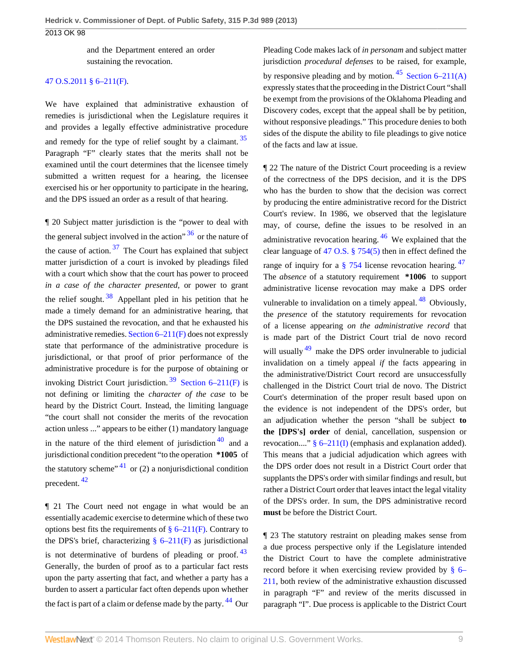and the Department entered an order sustaining the revocation.

### [47 O.S.2011 § 6–211\(F\).](http://www.westlaw.com/Link/Document/FullText?findType=L&pubNum=1000165&cite=OKSTT47S6-211&originatingDoc=I24ac18cf57f111e3b48bea39e86d4142&refType=LQ&originationContext=document&vr=3.0&rs=cblt1.0&transitionType=DocumentItem&contextData=(sc.Search))

We have explained that administrative exhaustion of remedies is jurisdictional when the Legislature requires it and provides a legally effective administrative procedure and remedy for the type of relief sought by a claimant.<sup>[35](#page-15-12)</sup> Paragraph "F" clearly states that the merits shall not be examined until the court determines that the licensee timely submitted a written request for a hearing, the licensee exercised his or her opportunity to participate in the hearing, and the DPS issued an order as a result of that hearing.

<span id="page-8-3"></span><span id="page-8-2"></span>¶ 20 Subject matter jurisdiction is the "power to deal with the general subject involved in the action<sup> $36$ </sup> or the nature of the cause of action.  $37$  The Court has explained that subject matter jurisdiction of a court is invoked by pleadings filed with a court which show that the court has power to proceed *in a case of the character presented,* or power to grant the relief sought.  $38$  Appellant pled in his petition that he made a timely demand for an administrative hearing, that the DPS sustained the revocation, and that he exhausted his administrative remedies. [Section 6–211\(F\)](http://www.westlaw.com/Link/Document/FullText?findType=L&pubNum=1000165&cite=OKSTT47S6-211&originatingDoc=I24ac18cf57f111e3b48bea39e86d4142&refType=LQ&originationContext=document&vr=3.0&rs=cblt1.0&transitionType=DocumentItem&contextData=(sc.Search)) does not expressly state that performance of the administrative procedure is jurisdictional, or that proof of prior performance of the administrative procedure is for the purpose of obtaining or invoking District Court jurisdiction.<sup>[39](#page-16-3)</sup> [Section 6–211\(F\)](http://www.westlaw.com/Link/Document/FullText?findType=L&pubNum=1000165&cite=OKSTT47S6-211&originatingDoc=I24ac18cf57f111e3b48bea39e86d4142&refType=LQ&originationContext=document&vr=3.0&rs=cblt1.0&transitionType=DocumentItem&contextData=(sc.Search)) is not defining or limiting the *character of the case* to be heard by the District Court. Instead, the limiting language "the court shall not consider the merits of the revocation action unless ..." appears to be either (1) mandatory language in the nature of the third element of jurisdiction  $\frac{40}{3}$  $\frac{40}{3}$  $\frac{40}{3}$  and a jurisdictional condition precedent "to the operation **\*1005** of the statutory scheme"  $41$  or (2) a nonjurisdictional condition precedent. [42](#page-16-6)

<span id="page-8-7"></span><span id="page-8-6"></span><span id="page-8-4"></span>¶ 21 The Court need not engage in what would be an essentially academic exercise to determine which of these two options best fits the requirements of  $\S 6-211(F)$ . Contrary to the DPS's brief, characterizing  $\S$  6–211(F) as jurisdictional is not determinative of burdens of pleading or proof.  $43$ Generally, the burden of proof as to a particular fact rests upon the party asserting that fact, and whether a party has a burden to assert a particular fact often depends upon whether the fact is part of a claim or defense made by the party. <sup>[44](#page-16-8)</sup> Our <span id="page-8-10"></span>Pleading Code makes lack of *in personam* and subject matter jurisdiction *procedural defenses* to be raised, for example, by responsive pleading and by motion.  $45$  [Section 6–211\(A\)](http://www.westlaw.com/Link/Document/FullText?findType=L&pubNum=1000165&cite=OKSTT47S6-211&originatingDoc=I24ac18cf57f111e3b48bea39e86d4142&refType=LQ&originationContext=document&vr=3.0&rs=cblt1.0&transitionType=DocumentItem&contextData=(sc.Search)) expressly states that the proceeding in the District Court "shall be exempt from the provisions of the Oklahoma Pleading and Discovery codes, except that the appeal shall be by petition, without responsive pleadings." This procedure denies to both sides of the dispute the ability to file pleadings to give notice of the facts and law at issue.

<span id="page-8-14"></span><span id="page-8-13"></span><span id="page-8-12"></span><span id="page-8-11"></span><span id="page-8-1"></span><span id="page-8-0"></span>¶ 22 The nature of the District Court proceeding is a review of the correctness of the DPS decision, and it is the DPS who has the burden to show that the decision was correct by producing the entire administrative record for the District Court's review. In 1986, we observed that the legislature may, of course, define the issues to be resolved in an administrative revocation hearing.  $46$  We explained that the clear language of [47 O.S. § 754\(5\)](http://www.westlaw.com/Link/Document/FullText?findType=L&pubNum=1000165&cite=OKSTT47S754&originatingDoc=I24ac18cf57f111e3b48bea39e86d4142&refType=LQ&originationContext=document&vr=3.0&rs=cblt1.0&transitionType=DocumentItem&contextData=(sc.Search)) then in effect defined the range of inquiry for a  $\S$  754 license revocation hearing.  $47$ The *absence* of a statutory requirement **\*1006** to support administrative license revocation may make a DPS order vulnerable to invalidation on a timely appeal.  $48$  Obviously, the *presence* of the statutory requirements for revocation of a license appearing *on the administrative record* that is made part of the District Court trial de novo record will usually  $49$  make the DPS order invulnerable to judicial invalidation on a timely appeal *if* the facts appearing in the administrative/District Court record are unsuccessfully challenged in the District Court trial de novo. The District Court's determination of the proper result based upon on the evidence is not independent of the DPS's order, but an adjudication whether the person "shall be subject **to the [DPS's] order** of denial, cancellation, suspension or revocation...."  $§ 6-211(I)$  (emphasis and explanation added). This means that a judicial adjudication which agrees with the DPS order does not result in a District Court order that supplants the DPS's order with similar findings and result, but rather a District Court order that leaves intact the legal vitality of the DPS's order. In sum, the DPS administrative record **must** be before the District Court.

<span id="page-8-9"></span><span id="page-8-8"></span><span id="page-8-5"></span>¶ 23 The statutory restraint on pleading makes sense from a due process perspective only if the Legislature intended the District Court to have the complete administrative record before it when exercising review provided by [§ 6–](http://www.westlaw.com/Link/Document/FullText?findType=L&pubNum=1000165&cite=OKSTT47S6-211&originatingDoc=I24ac18cf57f111e3b48bea39e86d4142&refType=LQ&originationContext=document&vr=3.0&rs=cblt1.0&transitionType=DocumentItem&contextData=(sc.Search)) [211](http://www.westlaw.com/Link/Document/FullText?findType=L&pubNum=1000165&cite=OKSTT47S6-211&originatingDoc=I24ac18cf57f111e3b48bea39e86d4142&refType=LQ&originationContext=document&vr=3.0&rs=cblt1.0&transitionType=DocumentItem&contextData=(sc.Search)), both review of the administrative exhaustion discussed in paragraph "F" and review of the merits discussed in paragraph "I". Due process is applicable to the District Court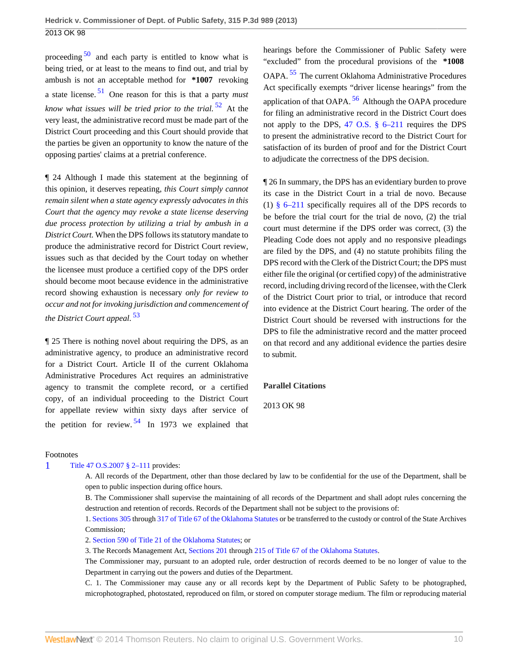<span id="page-9-2"></span><span id="page-9-1"></span>proceeding  $50$  and each party is entitled to know what is being tried, or at least to the means to find out, and trial by ambush is not an acceptable method for **\*1007** revoking a state license. [51](#page-17-3) One reason for this is that a party *must know what issues will be tried prior to the trial.* [52](#page-17-4) At the very least, the administrative record must be made part of the District Court proceeding and this Court should provide that the parties be given an opportunity to know the nature of the opposing parties' claims at a pretrial conference.

¶ 24 Although I made this statement at the beginning of this opinion, it deserves repeating, *this Court simply cannot remain silent when a state agency expressly advocates in this Court that the agency may revoke a state license deserving due process protection by utilizing a trial by ambush in a District Court.* When the DPS follows its statutory mandate to produce the administrative record for District Court review, issues such as that decided by the Court today on whether the licensee must produce a certified copy of the DPS order should become moot because evidence in the administrative record showing exhaustion is necessary *only for review to occur and not for invoking jurisdiction and commencement of the District Court appeal.* [53](#page-17-5)

<span id="page-9-4"></span>¶ 25 There is nothing novel about requiring the DPS, as an administrative agency, to produce an administrative record for a District Court. Article II of the current Oklahoma Administrative Procedures Act requires an administrative agency to transmit the complete record, or a certified copy, of an individual proceeding to the District Court for appellate review within sixty days after service of the petition for review.  $54 \text{ In } 1973$  $54 \text{ In } 1973$  we explained that

<span id="page-9-7"></span><span id="page-9-6"></span><span id="page-9-3"></span>hearings before the Commissioner of Public Safety were "excluded" from the procedural provisions of the **\*1008** OAPA. [55](#page-18-0) The current Oklahoma Administrative Procedures Act specifically exempts "driver license hearings" from the application of that OAPA.  $56$  Although the OAPA procedure for filing an administrative record in the District Court does not apply to the DPS, [47 O.S. § 6–211](http://www.westlaw.com/Link/Document/FullText?findType=L&pubNum=1000165&cite=OKSTT47S6-211&originatingDoc=I24ac18cf57f111e3b48bea39e86d4142&refType=LQ&originationContext=document&vr=3.0&rs=cblt1.0&transitionType=DocumentItem&contextData=(sc.Search)) requires the DPS to present the administrative record to the District Court for satisfaction of its burden of proof and for the District Court to adjudicate the correctness of the DPS decision.

¶ 26 In summary, the DPS has an evidentiary burden to prove its case in the District Court in a trial de novo. Because (1) [§ 6–211](http://www.westlaw.com/Link/Document/FullText?findType=L&pubNum=1000165&cite=OKSTT47S6-211&originatingDoc=I24ac18cf57f111e3b48bea39e86d4142&refType=LQ&originationContext=document&vr=3.0&rs=cblt1.0&transitionType=DocumentItem&contextData=(sc.Search)) specifically requires all of the DPS records to be before the trial court for the trial de novo, (2) the trial court must determine if the DPS order was correct, (3) the Pleading Code does not apply and no responsive pleadings are filed by the DPS, and (4) no statute prohibits filing the DPS record with the Clerk of the District Court; the DPS must either file the original (or certified copy) of the administrative record, including driving record of the licensee, with the Clerk of the District Court prior to trial, or introduce that record into evidence at the District Court hearing. The order of the District Court should be reversed with instructions for the DPS to file the administrative record and the matter proceed on that record and any additional evidence the parties desire to submit.

#### **Parallel Citations**

2013 OK 98

#### Footnotes

<span id="page-9-0"></span>[1](#page-1-0) [Title 47 O.S.2007 § 2–111](http://www.westlaw.com/Link/Document/FullText?findType=L&pubNum=1000165&cite=OKSTT47S2-111&originatingDoc=I24ac18cf57f111e3b48bea39e86d4142&refType=LQ&originationContext=document&vr=3.0&rs=cblt1.0&transitionType=DocumentItem&contextData=(sc.Search)) provides:

<span id="page-9-5"></span>A. All records of the Department, other than those declared by law to be confidential for the use of the Department, shall be open to public inspection during office hours.

B. The Commissioner shall supervise the maintaining of all records of the Department and shall adopt rules concerning the destruction and retention of records. Records of the Department shall not be subject to the provisions of:

1. [Sections 305](http://www.westlaw.com/Link/Document/FullText?findType=L&pubNum=1000165&cite=OKSTT67S305&originatingDoc=I24ac18cf57f111e3b48bea39e86d4142&refType=LQ&originationContext=document&vr=3.0&rs=cblt1.0&transitionType=DocumentItem&contextData=(sc.Search)) through [317 of Title 67 of the Oklahoma Statutes](http://www.westlaw.com/Link/Document/FullText?findType=L&pubNum=1000165&cite=OKSTT67S317&originatingDoc=I24ac18cf57f111e3b48bea39e86d4142&refType=LQ&originationContext=document&vr=3.0&rs=cblt1.0&transitionType=DocumentItem&contextData=(sc.Search)) or be transferred to the custody or control of the State Archives Commission;

2. [Section 590 of Title 21 of the Oklahoma Statutes](http://www.westlaw.com/Link/Document/FullText?findType=L&pubNum=1000165&cite=OKSTT21S590&originatingDoc=I24ac18cf57f111e3b48bea39e86d4142&refType=LQ&originationContext=document&vr=3.0&rs=cblt1.0&transitionType=DocumentItem&contextData=(sc.Search)); or

3. The Records Management Act, [Sections 201](http://www.westlaw.com/Link/Document/FullText?findType=L&pubNum=1000165&cite=OKSTT67S201&originatingDoc=I24ac18cf57f111e3b48bea39e86d4142&refType=LQ&originationContext=document&vr=3.0&rs=cblt1.0&transitionType=DocumentItem&contextData=(sc.Search)) through [215 of Title 67 of the Oklahoma Statutes.](http://www.westlaw.com/Link/Document/FullText?findType=L&pubNum=1000165&cite=OKSTT67S215&originatingDoc=I24ac18cf57f111e3b48bea39e86d4142&refType=LQ&originationContext=document&vr=3.0&rs=cblt1.0&transitionType=DocumentItem&contextData=(sc.Search))

The Commissioner may, pursuant to an adopted rule, order destruction of records deemed to be no longer of value to the Department in carrying out the powers and duties of the Department.

C. 1. The Commissioner may cause any or all records kept by the Department of Public Safety to be photographed, microphotographed, photostated, reproduced on film, or stored on computer storage medium. The film or reproducing material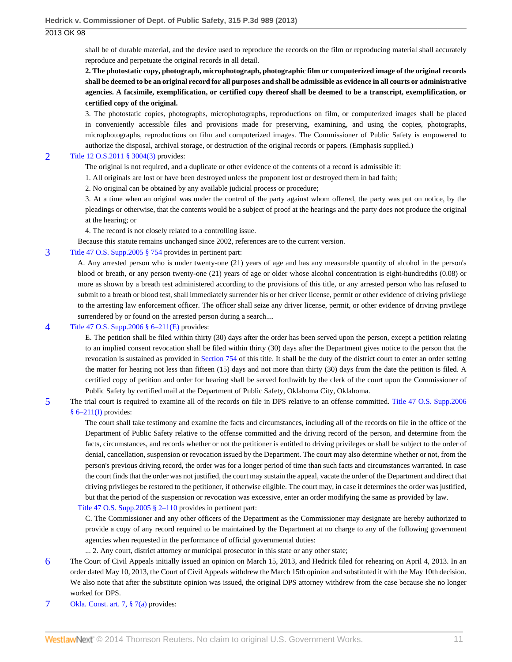shall be of durable material, and the device used to reproduce the records on the film or reproducing material shall accurately reproduce and perpetuate the original records in all detail.

**2. The photostatic copy, photograph, microphotograph, photographic film or computerized image of the original records shall be deemed to be an original record for all purposes and shall be admissible as evidence in all courts or administrative agencies. A facsimile, exemplification, or certified copy thereof shall be deemed to be a transcript, exemplification, or certified copy of the original.**

3. The photostatic copies, photographs, microphotographs, reproductions on film, or computerized images shall be placed in conveniently accessible files and provisions made for preserving, examining, and using the copies, photographs, microphotographs, reproductions on film and computerized images. The Commissioner of Public Safety is empowered to authorize the disposal, archival storage, or destruction of the original records or papers. (Emphasis supplied.)

### <span id="page-10-0"></span>[2](#page-1-1) [Title 12 O.S.2011 § 3004\(3\)](http://www.westlaw.com/Link/Document/FullText?findType=L&pubNum=1000165&cite=OKSTT12S3004&originatingDoc=I24ac18cf57f111e3b48bea39e86d4142&refType=LQ&originationContext=document&vr=3.0&rs=cblt1.0&transitionType=DocumentItem&contextData=(sc.Search)) provides:

The original is not required, and a duplicate or other evidence of the contents of a record is admissible if:

1. All originals are lost or have been destroyed unless the proponent lost or destroyed them in bad faith;

2. No original can be obtained by any available judicial process or procedure;

3. At a time when an original was under the control of the party against whom offered, the party was put on notice, by the pleadings or otherwise, that the contents would be a subject of proof at the hearings and the party does not produce the original at the hearing; or

4. The record is not closely related to a controlling issue.

Because this statute remains unchanged since 2002, references are to the current version.

### <span id="page-10-1"></span>[3](#page-1-2) [Title 47 O.S. Supp.2005 § 754](http://www.westlaw.com/Link/Document/FullText?findType=L&pubNum=1000165&cite=OKSTT47S754&originatingDoc=I24ac18cf57f111e3b48bea39e86d4142&refType=LQ&originationContext=document&vr=3.0&rs=cblt1.0&transitionType=DocumentItem&contextData=(sc.Search)) provides in pertinent part:

A. Any arrested person who is under twenty-one (21) years of age and has any measurable quantity of alcohol in the person's blood or breath, or any person twenty-one (21) years of age or older whose alcohol concentration is eight-hundredths (0.08) or more as shown by a breath test administered according to the provisions of this title, or any arrested person who has refused to submit to a breath or blood test, shall immediately surrender his or her driver license, permit or other evidence of driving privilege to the arresting law enforcement officer. The officer shall seize any driver license, permit, or other evidence of driving privilege surrendered by or found on the arrested person during a search....

#### <span id="page-10-2"></span>[4](#page-1-3) [Title 47 O.S. Supp.2006 § 6–211\(E\)](http://www.westlaw.com/Link/Document/FullText?findType=L&pubNum=1000165&cite=OKSTT47S6-211&originatingDoc=I24ac18cf57f111e3b48bea39e86d4142&refType=LQ&originationContext=document&vr=3.0&rs=cblt1.0&transitionType=DocumentItem&contextData=(sc.Search)) provides:

E. The petition shall be filed within thirty (30) days after the order has been served upon the person, except a petition relating to an implied consent revocation shall be filed within thirty (30) days after the Department gives notice to the person that the revocation is sustained as provided in [Section 754](http://www.westlaw.com/Link/Document/FullText?findType=L&pubNum=1000165&cite=OKSTT47S754&originatingDoc=I24ac18cf57f111e3b48bea39e86d4142&refType=LQ&originationContext=document&vr=3.0&rs=cblt1.0&transitionType=DocumentItem&contextData=(sc.Search)) of this title. It shall be the duty of the district court to enter an order setting the matter for hearing not less than fifteen (15) days and not more than thirty (30) days from the date the petition is filed. A certified copy of petition and order for hearing shall be served forthwith by the clerk of the court upon the Commissioner of Public Safety by certified mail at the Department of Public Safety, Oklahoma City, Oklahoma.

<span id="page-10-3"></span>[5](#page-1-4) The trial court is required to examine all of the records on file in DPS relative to an offense committed. [Title 47 O.S. Supp.2006](http://www.westlaw.com/Link/Document/FullText?findType=L&pubNum=1000165&cite=OKSTT47S6-211&originatingDoc=I24ac18cf57f111e3b48bea39e86d4142&refType=LQ&originationContext=document&vr=3.0&rs=cblt1.0&transitionType=DocumentItem&contextData=(sc.Search))

 $§ 6-211(I)$  provides:

The court shall take testimony and examine the facts and circumstances, including all of the records on file in the office of the Department of Public Safety relative to the offense committed and the driving record of the person, and determine from the facts, circumstances, and records whether or not the petitioner is entitled to driving privileges or shall be subject to the order of denial, cancellation, suspension or revocation issued by the Department. The court may also determine whether or not, from the person's previous driving record, the order was for a longer period of time than such facts and circumstances warranted. In case the court finds that the order was not justified, the court may sustain the appeal, vacate the order of the Department and direct that driving privileges be restored to the petitioner, if otherwise eligible. The court may, in case it determines the order was justified, but that the period of the suspension or revocation was excessive, enter an order modifying the same as provided by law.

#### [Title 47 O.S. Supp.2005 § 2–110](http://www.westlaw.com/Link/Document/FullText?findType=L&pubNum=1000165&cite=OKSTT47S2-110&originatingDoc=I24ac18cf57f111e3b48bea39e86d4142&refType=LQ&originationContext=document&vr=3.0&rs=cblt1.0&transitionType=DocumentItem&contextData=(sc.Search)) provides in pertinent part:

C. The Commissioner and any other officers of the Department as the Commissioner may designate are hereby authorized to provide a copy of any record required to be maintained by the Department at no charge to any of the following government agencies when requested in the performance of official governmental duties:

... 2. Any court, district attorney or municipal prosecutor in this state or any other state;

- <span id="page-10-4"></span>[6](#page-1-5) The Court of Civil Appeals initially issued an opinion on March 15, 2013, and Hedrick filed for rehearing on April 4, 2013. In an order dated May 10, 2013, the Court of Civil Appeals withdrew the March 15th opinion and substituted it with the May 10th decision. We also note that after the substitute opinion was issued, the original DPS attorney withdrew from the case because she no longer worked for DPS.
- <span id="page-10-5"></span>[7](#page-2-2) [Okla. Const. art. 7, § 7\(a\)](http://www.westlaw.com/Link/Document/FullText?findType=L&pubNum=1000165&cite=OKCNART7S7&originatingDoc=I24ac18cf57f111e3b48bea39e86d4142&refType=LQ&originationContext=document&vr=3.0&rs=cblt1.0&transitionType=DocumentItem&contextData=(sc.Search)) provides: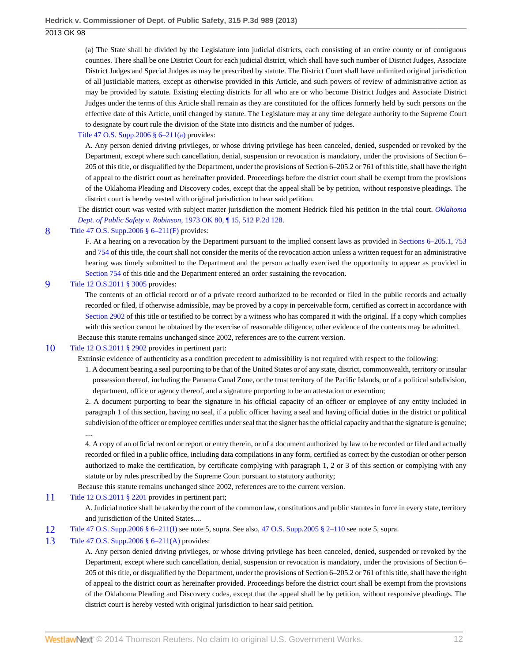(a) The State shall be divided by the Legislature into judicial districts, each consisting of an entire county or of contiguous counties. There shall be one District Court for each judicial district, which shall have such number of District Judges, Associate District Judges and Special Judges as may be prescribed by statute. The District Court shall have unlimited original jurisdiction of all justiciable matters, except as otherwise provided in this Article, and such powers of review of administrative action as may be provided by statute. Existing electing districts for all who are or who become District Judges and Associate District Judges under the terms of this Article shall remain as they are constituted for the offices formerly held by such persons on the effective date of this Article, until changed by statute. The Legislature may at any time delegate authority to the Supreme Court to designate by court rule the division of the State into districts and the number of judges.

### [Title 47 O.S. Supp.2006 § 6–211\(a\)](http://www.westlaw.com/Link/Document/FullText?findType=L&pubNum=1000165&cite=OKSTT47S6-211&originatingDoc=I24ac18cf57f111e3b48bea39e86d4142&refType=LQ&originationContext=document&vr=3.0&rs=cblt1.0&transitionType=DocumentItem&contextData=(sc.Search)) provides:

A. Any person denied driving privileges, or whose driving privilege has been canceled, denied, suspended or revoked by the Department, except where such cancellation, denial, suspension or revocation is mandatory, under the provisions of Section 6– 205 of this title, or disqualified by the Department, under the provisions of Section 6–205.2 or 761 of this title, shall have the right of appeal to the district court as hereinafter provided. Proceedings before the district court shall be exempt from the provisions of the Oklahoma Pleading and Discovery codes, except that the appeal shall be by petition, without responsive pleadings. The district court is hereby vested with original jurisdiction to hear said petition.

The district court was vested with subject matter jurisdiction the moment Hedrick filed his petition in the trial court. *[Oklahoma](http://www.westlaw.com/Link/Document/FullText?findType=Y&serNum=1973124254&pubNum=661&originationContext=document&vr=3.0&rs=cblt1.0&transitionType=DocumentItem&contextData=(sc.Search)) [Dept. of Public Safety v. Robinson,](http://www.westlaw.com/Link/Document/FullText?findType=Y&serNum=1973124254&pubNum=661&originationContext=document&vr=3.0&rs=cblt1.0&transitionType=DocumentItem&contextData=(sc.Search))* 1973 OK 80, ¶ 15, 512 P.2d 128.

#### <span id="page-11-0"></span>[8](#page-2-3) Title 47 O.S. Supp. 2006 § 6–211(F) provides:

F. At a hearing on a revocation by the Department pursuant to the implied consent laws as provided in [Sections 6–205.1,](http://www.westlaw.com/Link/Document/FullText?findType=L&pubNum=1000165&cite=OKSTT47S6-205.1&originatingDoc=I24ac18cf57f111e3b48bea39e86d4142&refType=LQ&originationContext=document&vr=3.0&rs=cblt1.0&transitionType=DocumentItem&contextData=(sc.Search)) [753](http://www.westlaw.com/Link/Document/FullText?findType=L&pubNum=1000165&cite=OKSTT47S753&originatingDoc=I24ac18cf57f111e3b48bea39e86d4142&refType=LQ&originationContext=document&vr=3.0&rs=cblt1.0&transitionType=DocumentItem&contextData=(sc.Search)) and [754](http://www.westlaw.com/Link/Document/FullText?findType=L&pubNum=1000165&cite=OKSTT47S754&originatingDoc=I24ac18cf57f111e3b48bea39e86d4142&refType=LQ&originationContext=document&vr=3.0&rs=cblt1.0&transitionType=DocumentItem&contextData=(sc.Search)) of this title, the court shall not consider the merits of the revocation action unless a written request for an administrative hearing was timely submitted to the Department and the person actually exercised the opportunity to appear as provided in [Section 754](http://www.westlaw.com/Link/Document/FullText?findType=L&pubNum=1000165&cite=OKSTT47S754&originatingDoc=I24ac18cf57f111e3b48bea39e86d4142&refType=LQ&originationContext=document&vr=3.0&rs=cblt1.0&transitionType=DocumentItem&contextData=(sc.Search)) of this title and the Department entered an order sustaining the revocation.

#### <span id="page-11-1"></span>[9](#page-2-4) [Title 12 O.S.2011 § 3005](http://www.westlaw.com/Link/Document/FullText?findType=L&pubNum=1000165&cite=OKSTT12S3005&originatingDoc=I24ac18cf57f111e3b48bea39e86d4142&refType=LQ&originationContext=document&vr=3.0&rs=cblt1.0&transitionType=DocumentItem&contextData=(sc.Search)) provides:

The contents of an official record or of a private record authorized to be recorded or filed in the public records and actually recorded or filed, if otherwise admissible, may be proved by a copy in perceivable form, certified as correct in accordance with [Section 2902](http://www.westlaw.com/Link/Document/FullText?findType=L&pubNum=1000165&cite=OKSTT12S2902&originatingDoc=I24ac18cf57f111e3b48bea39e86d4142&refType=LQ&originationContext=document&vr=3.0&rs=cblt1.0&transitionType=DocumentItem&contextData=(sc.Search)) of this title or testified to be correct by a witness who has compared it with the original. If a copy which complies with this section cannot be obtained by the exercise of reasonable diligence, other evidence of the contents may be admitted. Because this statute remains unchanged since 2002, references are to the current version.

#### <span id="page-11-2"></span>[10](#page-2-5) [Title 12 O.S.2011 § 2902](http://www.westlaw.com/Link/Document/FullText?findType=L&pubNum=1000165&cite=OKSTT12S2902&originatingDoc=I24ac18cf57f111e3b48bea39e86d4142&refType=LQ&originationContext=document&vr=3.0&rs=cblt1.0&transitionType=DocumentItem&contextData=(sc.Search)) provides in pertinent part:

Extrinsic evidence of authenticity as a condition precedent to admissibility is not required with respect to the following:

1. A document bearing a seal purporting to be that of the United States or of any state, district, commonwealth, territory or insular possession thereof, including the Panama Canal Zone, or the trust territory of the Pacific Islands, or of a political subdivision, department, office or agency thereof, and a signature purporting to be an attestation or execution;

2. A document purporting to bear the signature in his official capacity of an officer or employee of any entity included in paragraph 1 of this section, having no seal, if a public officer having a seal and having official duties in the district or political subdivision of the officer or employee certifies under seal that the signer has the official capacity and that the signature is genuine; ....

4. A copy of an official record or report or entry therein, or of a document authorized by law to be recorded or filed and actually recorded or filed in a public office, including data compilations in any form, certified as correct by the custodian or other person authorized to make the certification, by certificate complying with paragraph 1, 2 or 3 of this section or complying with any statute or by rules prescribed by the Supreme Court pursuant to statutory authority;

Because this statute remains unchanged since 2002, references are to the current version.

#### <span id="page-11-3"></span>[11](#page-2-6) [Title 12 O.S.2011 § 2201](http://www.westlaw.com/Link/Document/FullText?findType=L&pubNum=1000165&cite=OKSTT12S2201&originatingDoc=I24ac18cf57f111e3b48bea39e86d4142&refType=LQ&originationContext=document&vr=3.0&rs=cblt1.0&transitionType=DocumentItem&contextData=(sc.Search)) provides in pertinent part;

A. Judicial notice shall be taken by the court of the common law, constitutions and public statutes in force in every state, territory and jurisdiction of the United States....

<span id="page-11-4"></span>[12](#page-2-7) [Title 47 O.S. Supp.2006 § 6–211\(I\)](http://www.westlaw.com/Link/Document/FullText?findType=L&pubNum=1000165&cite=OKSTT47S6-211&originatingDoc=I24ac18cf57f111e3b48bea39e86d4142&refType=LQ&originationContext=document&vr=3.0&rs=cblt1.0&transitionType=DocumentItem&contextData=(sc.Search)) see note 5, supra. See also, [47 O.S. Supp.2005 § 2–110](http://www.westlaw.com/Link/Document/FullText?findType=L&pubNum=1000165&cite=OKSTT47S2-110&originatingDoc=I24ac18cf57f111e3b48bea39e86d4142&refType=LQ&originationContext=document&vr=3.0&rs=cblt1.0&transitionType=DocumentItem&contextData=(sc.Search)) see note 5, supra.

### <span id="page-11-5"></span>[13](#page-2-8) [Title 47 O.S. Supp.2006 § 6–211\(A\)](http://www.westlaw.com/Link/Document/FullText?findType=L&pubNum=1000165&cite=OKSTT47S6-211&originatingDoc=I24ac18cf57f111e3b48bea39e86d4142&refType=LQ&originationContext=document&vr=3.0&rs=cblt1.0&transitionType=DocumentItem&contextData=(sc.Search)) provides:

A. Any person denied driving privileges, or whose driving privilege has been canceled, denied, suspended or revoked by the Department, except where such cancellation, denial, suspension or revocation is mandatory, under the provisions of Section 6– 205 of this title, or disqualified by the Department, under the provisions of Section 6–205.2 or 761 of this title, shall have the right of appeal to the district court as hereinafter provided. Proceedings before the district court shall be exempt from the provisions of the Oklahoma Pleading and Discovery codes, except that the appeal shall be by petition, without responsive pleadings. The district court is hereby vested with original jurisdiction to hear said petition.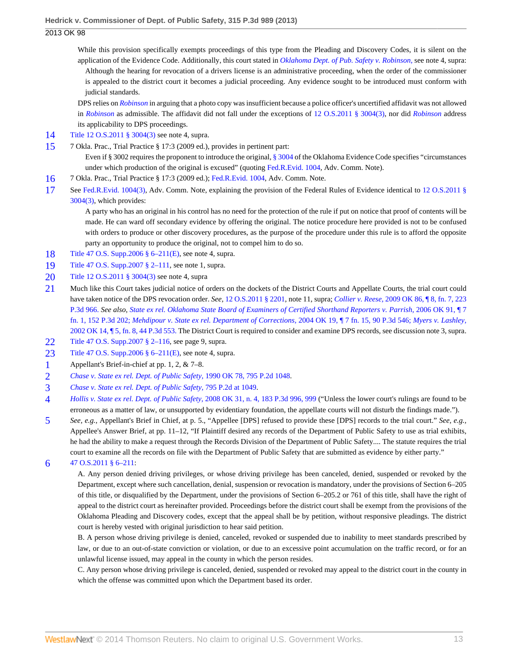While this provision specifically exempts proceedings of this type from the Pleading and Discovery Codes, it is silent on the application of the Evidence Code. Additionally, this court stated in *[Oklahoma Dept. of Pub. Safety v. Robinson,](http://www.westlaw.com/Link/Document/FullText?findType=Y&serNum=1973124254&originationContext=document&vr=3.0&rs=cblt1.0&transitionType=DocumentItem&contextData=(sc.Search))* see note 4, supra: Although the hearing for revocation of a drivers license is an administrative proceeding, when the order of the commissioner is appealed to the district court it becomes a judicial proceeding. Any evidence sought to be introduced must conform with judicial standards.

DPS relies on *[Robinson](http://www.westlaw.com/Link/Document/FullText?findType=Y&serNum=1973124254&originationContext=document&vr=3.0&rs=cblt1.0&transitionType=DocumentItem&contextData=(sc.Search))* in arguing that a photo copy was insufficient because a police officer's uncertified affidavit was not allowed in *[Robinson](http://www.westlaw.com/Link/Document/FullText?findType=Y&serNum=1973124254&originationContext=document&vr=3.0&rs=cblt1.0&transitionType=DocumentItem&contextData=(sc.Search))* as admissible. The affidavit did not fall under the exceptions of [12 O.S.2011 § 3004\(3\)](http://www.westlaw.com/Link/Document/FullText?findType=L&pubNum=1000165&cite=OKSTT12S3004&originatingDoc=I24ac18cf57f111e3b48bea39e86d4142&refType=LQ&originationContext=document&vr=3.0&rs=cblt1.0&transitionType=DocumentItem&contextData=(sc.Search)), nor did *[Robinson](http://www.westlaw.com/Link/Document/FullText?findType=Y&serNum=1973124254&originationContext=document&vr=3.0&rs=cblt1.0&transitionType=DocumentItem&contextData=(sc.Search))* address its applicability to DPS proceedings.

- <span id="page-12-0"></span>[14](#page-2-9) [Title 12 O.S.2011 § 3004\(3\)](http://www.westlaw.com/Link/Document/FullText?findType=L&pubNum=1000165&cite=OKSTT12S3004&originatingDoc=I24ac18cf57f111e3b48bea39e86d4142&refType=LQ&originationContext=document&vr=3.0&rs=cblt1.0&transitionType=DocumentItem&contextData=(sc.Search)) see note 4, supra.
- <span id="page-12-1"></span>[15](#page-2-10) 7 Okla. Prac., Trial Practice § 17:3 (2009 ed.), provides in pertinent part:

Even if § 3002 requires the proponent to introduce the original, [§ 3004](http://www.westlaw.com/Link/Document/FullText?findType=L&pubNum=1000165&cite=OKSTT12S3004&originatingDoc=I24ac18cf57f111e3b48bea39e86d4142&refType=LQ&originationContext=document&vr=3.0&rs=cblt1.0&transitionType=DocumentItem&contextData=(sc.Search)) of the Oklahoma Evidence Code specifies "circumstances under which production of the original is excused" (quoting [Fed.R.Evid. 1004](http://www.westlaw.com/Link/Document/FullText?findType=L&pubNum=1000607&cite=USFRER1004&originatingDoc=I24ac18cf57f111e3b48bea39e86d4142&refType=LQ&originationContext=document&vr=3.0&rs=cblt1.0&transitionType=DocumentItem&contextData=(sc.Search)), Adv. Comm. Note).

- <span id="page-12-2"></span>[16](#page-3-1) 7 Okla. Prac., Trial Practice § 17:3 (2009 ed.); [Fed.R.Evid. 1004,](http://www.westlaw.com/Link/Document/FullText?findType=L&pubNum=1000607&cite=USFRER1004&originatingDoc=I24ac18cf57f111e3b48bea39e86d4142&refType=LQ&originationContext=document&vr=3.0&rs=cblt1.0&transitionType=DocumentItem&contextData=(sc.Search)) Adv. Comm. Note.
- <span id="page-12-3"></span>[17](#page-3-2) See [Fed.R.Evid. 1004\(3\),](http://www.westlaw.com/Link/Document/FullText?findType=L&pubNum=1000607&cite=USFRER1004&originatingDoc=I24ac18cf57f111e3b48bea39e86d4142&refType=LQ&originationContext=document&vr=3.0&rs=cblt1.0&transitionType=DocumentItem&contextData=(sc.Search)) Adv. Comm. Note, explaining the provision of the Federal Rules of Evidence identical to [12 O.S.2011 §](http://www.westlaw.com/Link/Document/FullText?findType=L&pubNum=1000165&cite=OKSTT12S3004&originatingDoc=I24ac18cf57f111e3b48bea39e86d4142&refType=LQ&originationContext=document&vr=3.0&rs=cblt1.0&transitionType=DocumentItem&contextData=(sc.Search)) [3004\(3\)](http://www.westlaw.com/Link/Document/FullText?findType=L&pubNum=1000165&cite=OKSTT12S3004&originatingDoc=I24ac18cf57f111e3b48bea39e86d4142&refType=LQ&originationContext=document&vr=3.0&rs=cblt1.0&transitionType=DocumentItem&contextData=(sc.Search)), which provides:

A party who has an original in his control has no need for the protection of the rule if put on notice that proof of contents will be made. He can ward off secondary evidence by offering the original. The notice procedure here provided is not to be confused with orders to produce or other discovery procedures, as the purpose of the procedure under this rule is to afford the opposite party an opportunity to produce the original, not to compel him to do so.

- <span id="page-12-4"></span>[18](#page-3-3) [Title 47 O.S. Supp.2006 § 6–211\(E\)](http://www.westlaw.com/Link/Document/FullText?findType=L&pubNum=1000165&cite=OKSTT47S6-211&originatingDoc=I24ac18cf57f111e3b48bea39e86d4142&refType=LQ&originationContext=document&vr=3.0&rs=cblt1.0&transitionType=DocumentItem&contextData=(sc.Search)), see note 4, supra.
- <span id="page-12-5"></span>[19](#page-4-0) [Title 47 O.S. Supp.2007 § 2–111](http://www.westlaw.com/Link/Document/FullText?findType=L&pubNum=1000165&cite=OKSTT47S2-111&originatingDoc=I24ac18cf57f111e3b48bea39e86d4142&refType=LQ&originationContext=document&vr=3.0&rs=cblt1.0&transitionType=DocumentItem&contextData=(sc.Search)), see note 1, supra.
- <span id="page-12-6"></span>[20](#page-4-1) [Title 12 O.S.2011 § 3004\(3\)](http://www.westlaw.com/Link/Document/FullText?findType=L&pubNum=1000165&cite=OKSTT12S3004&originatingDoc=I24ac18cf57f111e3b48bea39e86d4142&refType=LQ&originationContext=document&vr=3.0&rs=cblt1.0&transitionType=DocumentItem&contextData=(sc.Search)) see note 4, supra
- <span id="page-12-7"></span>[21](#page-4-2) Much like this Court takes judicial notice of orders on the dockets of the District Courts and Appellate Courts, the trial court could have taken notice of the DPS revocation order. *See,* [12 O.S.2011 § 2201,](http://www.westlaw.com/Link/Document/FullText?findType=L&pubNum=1000165&cite=OKSTT12S2201&originatingDoc=I24ac18cf57f111e3b48bea39e86d4142&refType=LQ&originationContext=document&vr=3.0&rs=cblt1.0&transitionType=DocumentItem&contextData=(sc.Search)) note 11, supra; *Collier v. Reese*, [2009 OK 86, ¶ 8, fn. 7, 223](http://www.westlaw.com/Link/Document/FullText?findType=Y&serNum=2020419536&pubNum=4645&originationContext=document&vr=3.0&rs=cblt1.0&transitionType=DocumentItem&contextData=(sc.Search)) [P.3d 966.](http://www.westlaw.com/Link/Document/FullText?findType=Y&serNum=2020419536&pubNum=4645&originationContext=document&vr=3.0&rs=cblt1.0&transitionType=DocumentItem&contextData=(sc.Search)) *See also, [State ex rel. Oklahoma State Board of Examiners of Certified Shorthand Reporters v. Parrish,](http://www.westlaw.com/Link/Document/FullText?findType=Y&serNum=2010861205&pubNum=4645&originationContext=document&vr=3.0&rs=cblt1.0&transitionType=DocumentItem&contextData=(sc.Search))* 2006 OK 91, ¶ 7 [fn. 1, 152 P.3d 202;](http://www.westlaw.com/Link/Document/FullText?findType=Y&serNum=2010861205&pubNum=4645&originationContext=document&vr=3.0&rs=cblt1.0&transitionType=DocumentItem&contextData=(sc.Search)) *[Mehdipour v. State ex rel. Department of Corrections,](http://www.westlaw.com/Link/Document/FullText?findType=Y&serNum=2004273660&pubNum=4645&originationContext=document&vr=3.0&rs=cblt1.0&transitionType=DocumentItem&contextData=(sc.Search))* 2004 OK 19, ¶ 7 fn. 15, 90 P.3d 546; *[Myers v. Lashley,](http://www.westlaw.com/Link/Document/FullText?findType=Y&serNum=2002144349&pubNum=4645&originationContext=document&vr=3.0&rs=cblt1.0&transitionType=DocumentItem&contextData=(sc.Search))* [2002 OK 14, ¶ 5, fn. 8, 44 P.3d 553.](http://www.westlaw.com/Link/Document/FullText?findType=Y&serNum=2002144349&pubNum=4645&originationContext=document&vr=3.0&rs=cblt1.0&transitionType=DocumentItem&contextData=(sc.Search)) The District Court is required to consider and examine DPS records, see discussion note 3, supra.
- <span id="page-12-8"></span>[22](#page-4-3) [Title 47 O.S. Supp.2007 § 2–116](http://www.westlaw.com/Link/Document/FullText?findType=L&pubNum=1000165&cite=OKSTT47S2-116&originatingDoc=I24ac18cf57f111e3b48bea39e86d4142&refType=LQ&originationContext=document&vr=3.0&rs=cblt1.0&transitionType=DocumentItem&contextData=(sc.Search)), see page 9, supra.
- <span id="page-12-9"></span>[23](#page-4-4) [Title 47 O.S. Supp.2006 § 6–211\(E\)](http://www.westlaw.com/Link/Document/FullText?findType=L&pubNum=1000165&cite=OKSTT47S6-211&originatingDoc=I24ac18cf57f111e3b48bea39e86d4142&refType=LQ&originationContext=document&vr=3.0&rs=cblt1.0&transitionType=DocumentItem&contextData=(sc.Search)), see note 4, supra.
- <span id="page-12-10"></span>[1](#page-4-5) Appellant's Brief-in-chief at pp. 1, 2, & 7–8.
- <span id="page-12-11"></span>[2](#page-4-6) *[Chase v. State ex rel. Dept. of Public Safety,](http://www.westlaw.com/Link/Document/FullText?findType=Y&serNum=1990112403&pubNum=661&originationContext=document&vr=3.0&rs=cblt1.0&transitionType=DocumentItem&contextData=(sc.Search))* 1990 OK 78, 795 P.2d 1048.
- <span id="page-12-12"></span>[3](#page-5-0) *[Chase v. State ex rel. Dept. of Public Safety,](http://www.westlaw.com/Link/Document/FullText?findType=Y&serNum=1990112403&pubNum=661&fi=co_pp_sp_661_1049&originationContext=document&vr=3.0&rs=cblt1.0&transitionType=DocumentItem&contextData=(sc.Search)#co_pp_sp_661_1049)* 795 P.2d at 1049.
- <span id="page-12-13"></span>[4](#page-5-1) *[Hollis v. State ex rel. Dept. of Public Safety,](http://www.westlaw.com/Link/Document/FullText?findType=Y&serNum=2015655134&pubNum=4645&fi=co_pp_sp_4645_999&originationContext=document&vr=3.0&rs=cblt1.0&transitionType=DocumentItem&contextData=(sc.Search)#co_pp_sp_4645_999)* 2008 OK 31, n. 4, 183 P.3d 996, 999 ("Unless the lower court's rulings are found to be erroneous as a matter of law, or unsupported by evidentiary foundation, the appellate courts will not disturb the findings made.").
- <span id="page-12-14"></span>[5](#page-5-2) *See, e.g.,* Appellant's Brief in Chief, at p. 5., "Appellee [DPS] refused to provide these [DPS] records to the trial court." *See, e.g.,* Appellee's Answer Brief, at pp. 11–12, "If Plaintiff desired any records of the Department of Public Safety to use as trial exhibits, he had the ability to make a request through the Records Division of the Department of Public Safety.... The statute requires the trial court to examine all the records on file with the Department of Public Safety that are submitted as evidence by either party."
- <span id="page-12-15"></span>[6](#page-5-3) [47 O.S.2011 § 6–211:](http://www.westlaw.com/Link/Document/FullText?findType=L&pubNum=1000165&cite=OKSTT47S6-211&originatingDoc=I24ac18cf57f111e3b48bea39e86d4142&refType=LQ&originationContext=document&vr=3.0&rs=cblt1.0&transitionType=DocumentItem&contextData=(sc.Search))

A. Any person denied driving privileges, or whose driving privilege has been canceled, denied, suspended or revoked by the Department, except where such cancellation, denial, suspension or revocation is mandatory, under the provisions of Section 6–205 of this title, or disqualified by the Department, under the provisions of Section 6–205.2 or 761 of this title, shall have the right of appeal to the district court as hereinafter provided. Proceedings before the district court shall be exempt from the provisions of the Oklahoma Pleading and Discovery codes, except that the appeal shall be by petition, without responsive pleadings. The district court is hereby vested with original jurisdiction to hear said petition.

B. A person whose driving privilege is denied, canceled, revoked or suspended due to inability to meet standards prescribed by law, or due to an out-of-state conviction or violation, or due to an excessive point accumulation on the traffic record, or for an unlawful license issued, may appeal in the county in which the person resides.

C. Any person whose driving privilege is canceled, denied, suspended or revoked may appeal to the district court in the county in which the offense was committed upon which the Department based its order.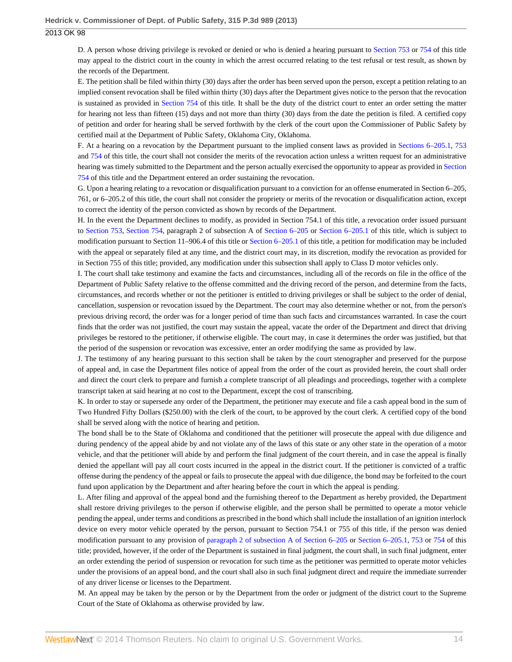D. A person whose driving privilege is revoked or denied or who is denied a hearing pursuant to [Section 753](http://www.westlaw.com/Link/Document/FullText?findType=L&pubNum=1000165&cite=OKSTT47S753&originatingDoc=I24ac18cf57f111e3b48bea39e86d4142&refType=LQ&originationContext=document&vr=3.0&rs=cblt1.0&transitionType=DocumentItem&contextData=(sc.Search)) or [754](http://www.westlaw.com/Link/Document/FullText?findType=L&pubNum=1000165&cite=OKSTT47S754&originatingDoc=I24ac18cf57f111e3b48bea39e86d4142&refType=LQ&originationContext=document&vr=3.0&rs=cblt1.0&transitionType=DocumentItem&contextData=(sc.Search)) of this title may appeal to the district court in the county in which the arrest occurred relating to the test refusal or test result, as shown by the records of the Department.

E. The petition shall be filed within thirty (30) days after the order has been served upon the person, except a petition relating to an implied consent revocation shall be filed within thirty (30) days after the Department gives notice to the person that the revocation is sustained as provided in [Section 754](http://www.westlaw.com/Link/Document/FullText?findType=L&pubNum=1000165&cite=OKSTT47S754&originatingDoc=I24ac18cf57f111e3b48bea39e86d4142&refType=LQ&originationContext=document&vr=3.0&rs=cblt1.0&transitionType=DocumentItem&contextData=(sc.Search)) of this title. It shall be the duty of the district court to enter an order setting the matter for hearing not less than fifteen (15) days and not more than thirty (30) days from the date the petition is filed. A certified copy of petition and order for hearing shall be served forthwith by the clerk of the court upon the Commissioner of Public Safety by certified mail at the Department of Public Safety, Oklahoma City, Oklahoma.

F. At a hearing on a revocation by the Department pursuant to the implied consent laws as provided in [Sections 6–205.1](http://www.westlaw.com/Link/Document/FullText?findType=L&pubNum=1000165&cite=OKSTT47S6-205.1&originatingDoc=I24ac18cf57f111e3b48bea39e86d4142&refType=LQ&originationContext=document&vr=3.0&rs=cblt1.0&transitionType=DocumentItem&contextData=(sc.Search)), [753](http://www.westlaw.com/Link/Document/FullText?findType=L&pubNum=1000165&cite=OKSTT47S753&originatingDoc=I24ac18cf57f111e3b48bea39e86d4142&refType=LQ&originationContext=document&vr=3.0&rs=cblt1.0&transitionType=DocumentItem&contextData=(sc.Search)) and [754](http://www.westlaw.com/Link/Document/FullText?findType=L&pubNum=1000165&cite=OKSTT47S754&originatingDoc=I24ac18cf57f111e3b48bea39e86d4142&refType=LQ&originationContext=document&vr=3.0&rs=cblt1.0&transitionType=DocumentItem&contextData=(sc.Search)) of this title, the court shall not consider the merits of the revocation action unless a written request for an administrative hearing was timely submitted to the Department and the person actually exercised the opportunity to appear as provided in [Section](http://www.westlaw.com/Link/Document/FullText?findType=L&pubNum=1000165&cite=OKSTT47S754&originatingDoc=I24ac18cf57f111e3b48bea39e86d4142&refType=LQ&originationContext=document&vr=3.0&rs=cblt1.0&transitionType=DocumentItem&contextData=(sc.Search)) [754](http://www.westlaw.com/Link/Document/FullText?findType=L&pubNum=1000165&cite=OKSTT47S754&originatingDoc=I24ac18cf57f111e3b48bea39e86d4142&refType=LQ&originationContext=document&vr=3.0&rs=cblt1.0&transitionType=DocumentItem&contextData=(sc.Search)) of this title and the Department entered an order sustaining the revocation.

G. Upon a hearing relating to a revocation or disqualification pursuant to a conviction for an offense enumerated in Section 6–205, 761, or 6–205.2 of this title, the court shall not consider the propriety or merits of the revocation or disqualification action, except to correct the identity of the person convicted as shown by records of the Department.

H. In the event the Department declines to modify, as provided in Section 754.1 of this title, a revocation order issued pursuant to [Section 753](http://www.westlaw.com/Link/Document/FullText?findType=L&pubNum=1000165&cite=OKSTT47S753&originatingDoc=I24ac18cf57f111e3b48bea39e86d4142&refType=LQ&originationContext=document&vr=3.0&rs=cblt1.0&transitionType=DocumentItem&contextData=(sc.Search)), [Section 754,](http://www.westlaw.com/Link/Document/FullText?findType=L&pubNum=1000165&cite=OKSTT47S754&originatingDoc=I24ac18cf57f111e3b48bea39e86d4142&refType=LQ&originationContext=document&vr=3.0&rs=cblt1.0&transitionType=DocumentItem&contextData=(sc.Search)) paragraph 2 of subsection A of [Section 6–205](http://www.westlaw.com/Link/Document/FullText?findType=L&pubNum=1000165&cite=OKSTT47S6-205&originatingDoc=I24ac18cf57f111e3b48bea39e86d4142&refType=LQ&originationContext=document&vr=3.0&rs=cblt1.0&transitionType=DocumentItem&contextData=(sc.Search)) or [Section 6–205.1](http://www.westlaw.com/Link/Document/FullText?findType=L&pubNum=1000165&cite=OKSTT47S6-205.1&originatingDoc=I24ac18cf57f111e3b48bea39e86d4142&refType=LQ&originationContext=document&vr=3.0&rs=cblt1.0&transitionType=DocumentItem&contextData=(sc.Search)) of this title, which is subject to modification pursuant to Section 11–906.4 of this title or [Section 6–205.1](http://www.westlaw.com/Link/Document/FullText?findType=L&pubNum=1000165&cite=OKSTT47S6-205.1&originatingDoc=I24ac18cf57f111e3b48bea39e86d4142&refType=LQ&originationContext=document&vr=3.0&rs=cblt1.0&transitionType=DocumentItem&contextData=(sc.Search)) of this title, a petition for modification may be included with the appeal or separately filed at any time, and the district court may, in its discretion, modify the revocation as provided for in Section 755 of this title; provided, any modification under this subsection shall apply to Class D motor vehicles only.

I. The court shall take testimony and examine the facts and circumstances, including all of the records on file in the office of the Department of Public Safety relative to the offense committed and the driving record of the person, and determine from the facts, circumstances, and records whether or not the petitioner is entitled to driving privileges or shall be subject to the order of denial, cancellation, suspension or revocation issued by the Department. The court may also determine whether or not, from the person's previous driving record, the order was for a longer period of time than such facts and circumstances warranted. In case the court finds that the order was not justified, the court may sustain the appeal, vacate the order of the Department and direct that driving privileges be restored to the petitioner, if otherwise eligible. The court may, in case it determines the order was justified, but that the period of the suspension or revocation was excessive, enter an order modifying the same as provided by law.

J. The testimony of any hearing pursuant to this section shall be taken by the court stenographer and preserved for the purpose of appeal and, in case the Department files notice of appeal from the order of the court as provided herein, the court shall order and direct the court clerk to prepare and furnish a complete transcript of all pleadings and proceedings, together with a complete transcript taken at said hearing at no cost to the Department, except the cost of transcribing.

K. In order to stay or supersede any order of the Department, the petitioner may execute and file a cash appeal bond in the sum of Two Hundred Fifty Dollars (\$250.00) with the clerk of the court, to be approved by the court clerk. A certified copy of the bond shall be served along with the notice of hearing and petition.

The bond shall be to the State of Oklahoma and conditioned that the petitioner will prosecute the appeal with due diligence and during pendency of the appeal abide by and not violate any of the laws of this state or any other state in the operation of a motor vehicle, and that the petitioner will abide by and perform the final judgment of the court therein, and in case the appeal is finally denied the appellant will pay all court costs incurred in the appeal in the district court. If the petitioner is convicted of a traffic offense during the pendency of the appeal or fails to prosecute the appeal with due diligence, the bond may be forfeited to the court fund upon application by the Department and after hearing before the court in which the appeal is pending.

L. After filing and approval of the appeal bond and the furnishing thereof to the Department as hereby provided, the Department shall restore driving privileges to the person if otherwise eligible, and the person shall be permitted to operate a motor vehicle pending the appeal, under terms and conditions as prescribed in the bond which shall include the installation of an ignition interlock device on every motor vehicle operated by the person, pursuant to Section 754.1 or 755 of this title, if the person was denied modification pursuant to any provision of [paragraph 2 of subsection A of Section 6–205](http://www.westlaw.com/Link/Document/FullText?findType=L&pubNum=1000165&cite=OKSTT47S6-205&originatingDoc=I24ac18cf57f111e3b48bea39e86d4142&refType=LQ&originationContext=document&vr=3.0&rs=cblt1.0&transitionType=DocumentItem&contextData=(sc.Search)) or [Section 6–205.1](http://www.westlaw.com/Link/Document/FullText?findType=L&pubNum=1000165&cite=OKSTT47S6-205.1&originatingDoc=I24ac18cf57f111e3b48bea39e86d4142&refType=LQ&originationContext=document&vr=3.0&rs=cblt1.0&transitionType=DocumentItem&contextData=(sc.Search)), [753](http://www.westlaw.com/Link/Document/FullText?findType=L&pubNum=1000165&cite=OKSTT47S753&originatingDoc=I24ac18cf57f111e3b48bea39e86d4142&refType=LQ&originationContext=document&vr=3.0&rs=cblt1.0&transitionType=DocumentItem&contextData=(sc.Search)) or [754](http://www.westlaw.com/Link/Document/FullText?findType=L&pubNum=1000165&cite=OKSTT47S754&originatingDoc=I24ac18cf57f111e3b48bea39e86d4142&refType=LQ&originationContext=document&vr=3.0&rs=cblt1.0&transitionType=DocumentItem&contextData=(sc.Search)) of this title; provided, however, if the order of the Department is sustained in final judgment, the court shall, in such final judgment, enter an order extending the period of suspension or revocation for such time as the petitioner was permitted to operate motor vehicles under the provisions of an appeal bond, and the court shall also in such final judgment direct and require the immediate surrender of any driver license or licenses to the Department.

M. An appeal may be taken by the person or by the Department from the order or judgment of the district court to the Supreme Court of the State of Oklahoma as otherwise provided by law.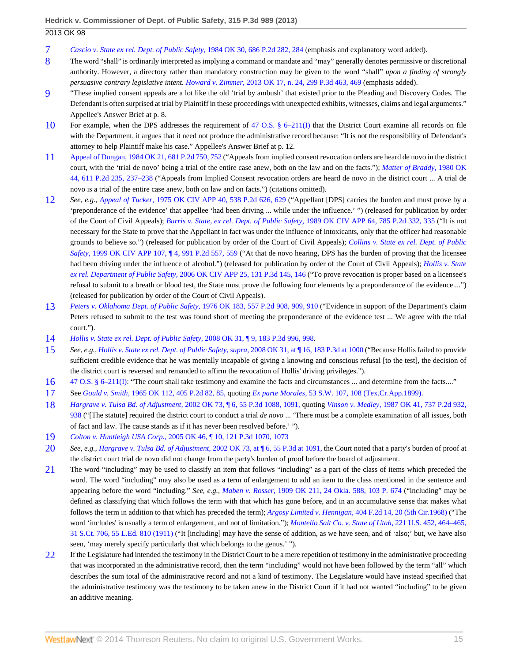- <span id="page-14-0"></span>[7](#page-5-4) *[Cascio v. State ex rel. Dept. of Public Safety,](http://www.westlaw.com/Link/Document/FullText?findType=Y&serNum=1984125800&pubNum=661&fi=co_pp_sp_661_284&originationContext=document&vr=3.0&rs=cblt1.0&transitionType=DocumentItem&contextData=(sc.Search)#co_pp_sp_661_284)* 1984 OK 30, 686 P.2d 282, 284 (emphasis and explanatory word added).
- <span id="page-14-1"></span>[8](#page-5-5) The word "shall" is ordinarily interpreted as implying a command or mandate and "may" generally denotes permissive or discretional authority. However, a directory rather than mandatory construction may be given to the word "shall" *upon a finding of strongly persuasive contrary legislative intent. Howard v. Zimmer,* [2013 OK 17, n. 24, 299 P.3d 463, 469](http://www.westlaw.com/Link/Document/FullText?findType=Y&serNum=2030174249&pubNum=4645&fi=co_pp_sp_4645_469&originationContext=document&vr=3.0&rs=cblt1.0&transitionType=DocumentItem&contextData=(sc.Search)#co_pp_sp_4645_469) (emphasis added).
- <span id="page-14-2"></span>[9](#page-6-0) "These implied consent appeals are a lot like the old 'trial by ambush' that existed prior to the Pleading and Discovery Codes. The Defendant is often surprised at trial by Plaintiff in these proceedings with unexpected exhibits, witnesses, claims and legal arguments." Appellee's Answer Brief at p. 8.
- <span id="page-14-3"></span>[10](#page-6-1) For example, when the DPS addresses the requirement of [47 O.S. § 6–211\(I\)](http://www.westlaw.com/Link/Document/FullText?findType=L&pubNum=1000165&cite=OKSTT47S6-211&originatingDoc=I24ac18cf57f111e3b48bea39e86d4142&refType=LQ&originationContext=document&vr=3.0&rs=cblt1.0&transitionType=DocumentItem&contextData=(sc.Search)) that the District Court examine all records on file with the Department, it argues that it need not produce the administrative record because: "It is not the responsibility of Defendant's attorney to help Plaintiff make his case." Appellee's Answer Brief at p. 12.
- <span id="page-14-4"></span>[11](#page-6-2) [Appeal of Dungan, 1984 OK 21, 681 P.2d 750, 752](http://www.westlaw.com/Link/Document/FullText?findType=Y&serNum=1984122649&pubNum=661&fi=co_pp_sp_661_752&originationContext=document&vr=3.0&rs=cblt1.0&transitionType=DocumentItem&contextData=(sc.Search)#co_pp_sp_661_752) ("Appeals from implied consent revocation orders are heard de novo in the district court, with the 'trial de novo' being a trial of the entire case anew, both on the law and on the facts."); *[Matter of Braddy,](http://www.westlaw.com/Link/Document/FullText?findType=Y&serNum=1980114823&pubNum=661&fi=co_pp_sp_661_237&originationContext=document&vr=3.0&rs=cblt1.0&transitionType=DocumentItem&contextData=(sc.Search)#co_pp_sp_661_237)* 1980 OK [44, 611 P.2d 235, 237–238](http://www.westlaw.com/Link/Document/FullText?findType=Y&serNum=1980114823&pubNum=661&fi=co_pp_sp_661_237&originationContext=document&vr=3.0&rs=cblt1.0&transitionType=DocumentItem&contextData=(sc.Search)#co_pp_sp_661_237) ("Appeals from Implied Consent revocation orders are heard de novo in the district court ... A trial de novo is a trial of the entire case anew, both on law and on facts.") (citations omitted).
- <span id="page-14-5"></span>[12](#page-6-3) *See, e.g., Appeal of Tucker,* [1975 OK CIV APP 40, 538 P.2d 626, 629](http://www.westlaw.com/Link/Document/FullText?findType=Y&serNum=1975127544&pubNum=661&fi=co_pp_sp_661_629&originationContext=document&vr=3.0&rs=cblt1.0&transitionType=DocumentItem&contextData=(sc.Search)#co_pp_sp_661_629) ("Appellant [DPS] carries the burden and must prove by a 'preponderance of the evidence' that appellee 'had been driving ... while under the influence.' ") (released for publication by order of the Court of Civil Appeals); *[Burris v. State, ex rel. Dept. of Public Safety,](http://www.westlaw.com/Link/Document/FullText?findType=Y&serNum=1990025047&pubNum=661&fi=co_pp_sp_661_335&originationContext=document&vr=3.0&rs=cblt1.0&transitionType=DocumentItem&contextData=(sc.Search)#co_pp_sp_661_335)* 1989 OK CIV APP 64, 785 P.2d 332, 335 ("It is not necessary for the State to prove that the Appellant in fact was under the influence of intoxicants, only that the officer had reasonable grounds to believe so.") (released for publication by order of the Court of Civil Appeals); *[Collins v. State ex rel. Dept. of Public](http://www.westlaw.com/Link/Document/FullText?findType=Y&serNum=1999257063&pubNum=661&fi=co_pp_sp_661_559&originationContext=document&vr=3.0&rs=cblt1.0&transitionType=DocumentItem&contextData=(sc.Search)#co_pp_sp_661_559) Safety,* [1999 OK CIV APP 107, ¶ 4, 991 P.2d 557, 559](http://www.westlaw.com/Link/Document/FullText?findType=Y&serNum=1999257063&pubNum=661&fi=co_pp_sp_661_559&originationContext=document&vr=3.0&rs=cblt1.0&transitionType=DocumentItem&contextData=(sc.Search)#co_pp_sp_661_559) ("At that de novo hearing, DPS has the burden of proving that the licensee had been driving under the influence of alcohol.") (released for publication by order of the Court of Civil Appeals); *[Hollis v. State](http://www.westlaw.com/Link/Document/FullText?findType=Y&serNum=2008725833&pubNum=4645&fi=co_pp_sp_4645_146&originationContext=document&vr=3.0&rs=cblt1.0&transitionType=DocumentItem&contextData=(sc.Search)#co_pp_sp_4645_146) ex rel. Department of Public Safety,* [2006 OK CIV APP 25, 131 P.3d 145, 146](http://www.westlaw.com/Link/Document/FullText?findType=Y&serNum=2008725833&pubNum=4645&fi=co_pp_sp_4645_146&originationContext=document&vr=3.0&rs=cblt1.0&transitionType=DocumentItem&contextData=(sc.Search)#co_pp_sp_4645_146) ("To prove revocation is proper based on a licensee's refusal to submit to a breath or blood test, the State must prove the following four elements by a preponderance of the evidence....") (released for publication by order of the Court of Civil Appeals).
- <span id="page-14-6"></span>[13](#page-6-4) *[Peters v. Oklahoma Dept. of Public Safety,](http://www.westlaw.com/Link/Document/FullText?findType=Y&serNum=1976134846&pubNum=661&fi=co_pp_sp_661_909&originationContext=document&vr=3.0&rs=cblt1.0&transitionType=DocumentItem&contextData=(sc.Search)#co_pp_sp_661_909)* 1976 OK 183, 557 P.2d 908, 909, 910 ("Evidence in support of the Department's claim Peters refused to submit to the test was found short of meeting the preponderance of the evidence test ... We agree with the trial court.").
- <span id="page-14-7"></span>[14](#page-6-5) *[Hollis v. State ex rel. Dept. of Public Safety,](http://www.westlaw.com/Link/Document/FullText?findType=Y&serNum=2015655134&pubNum=4645&fi=co_pp_sp_4645_998&originationContext=document&vr=3.0&rs=cblt1.0&transitionType=DocumentItem&contextData=(sc.Search)#co_pp_sp_4645_998)* 2008 OK 31, ¶ 9, 183 P.3d 996, 998.
- <span id="page-14-8"></span>[15](#page-6-6) *See, e.g., [Hollis v. State ex rel. Dept. of Public Safety, supra,](http://www.westlaw.com/Link/Document/FullText?findType=Y&serNum=2015655134&pubNum=4645&fi=co_pp_sp_4645_1000&originationContext=document&vr=3.0&rs=cblt1.0&transitionType=DocumentItem&contextData=(sc.Search)#co_pp_sp_4645_1000)* 2008 OK 31, at ¶ 16, 183 P.3d at 1000 ("Because Hollis failed to provide sufficient credible evidence that he was mentally incapable of giving a knowing and conscious refusal [to the test], the decision of the district court is reversed and remanded to affirm the revocation of Hollis' driving privileges.").
- <span id="page-14-9"></span>[16](#page-6-7) [47 O.S. § 6–211\(I\):](http://www.westlaw.com/Link/Document/FullText?findType=L&pubNum=1000165&cite=OKSTT47S6-211&originatingDoc=I24ac18cf57f111e3b48bea39e86d4142&refType=LQ&originationContext=document&vr=3.0&rs=cblt1.0&transitionType=DocumentItem&contextData=(sc.Search)) "The court shall take testimony and examine the facts and circumstances ... and determine from the facts...."
- <span id="page-14-10"></span>[17](#page-6-8) See *Gould v. Smith,* [1965 OK 112, 405 P.2d 82, 85,](http://www.westlaw.com/Link/Document/FullText?findType=Y&serNum=1965123956&pubNum=661&fi=co_pp_sp_661_85&originationContext=document&vr=3.0&rs=cblt1.0&transitionType=DocumentItem&contextData=(sc.Search)#co_pp_sp_661_85) quoting *Ex parte Morales,* [53 S.W. 107, 108 \(Tex.Cr.App.1899\).](http://www.westlaw.com/Link/Document/FullText?findType=Y&serNum=1899007461&pubNum=712&fi=co_pp_sp_712_108&originationContext=document&vr=3.0&rs=cblt1.0&transitionType=DocumentItem&contextData=(sc.Search)#co_pp_sp_712_108)
- <span id="page-14-11"></span>[18](#page-6-9) *Hargrave v. Tulsa Bd. of Adjustment,* [2002 OK 73, ¶ 6, 55 P.3d 1088, 1091,](http://www.westlaw.com/Link/Document/FullText?findType=Y&serNum=2002606191&pubNum=4645&fi=co_pp_sp_4645_1091&originationContext=document&vr=3.0&rs=cblt1.0&transitionType=DocumentItem&contextData=(sc.Search)#co_pp_sp_4645_1091) quoting *Vinson v. Medley,* [1987 OK 41, 737 P.2d 932,](http://www.westlaw.com/Link/Document/FullText?findType=Y&serNum=1987065343&pubNum=661&fi=co_pp_sp_661_938&originationContext=document&vr=3.0&rs=cblt1.0&transitionType=DocumentItem&contextData=(sc.Search)#co_pp_sp_661_938) [938](http://www.westlaw.com/Link/Document/FullText?findType=Y&serNum=1987065343&pubNum=661&fi=co_pp_sp_661_938&originationContext=document&vr=3.0&rs=cblt1.0&transitionType=DocumentItem&contextData=(sc.Search)#co_pp_sp_661_938) ("[The statute] required the district court to conduct a trial *de novo* ... 'There must be a complete examination of all issues, both of fact and law. The cause stands as if it has never been resolved before.' ").
- <span id="page-14-12"></span>[19](#page-6-10) *Colton v. Huntleigh USA Corp.,* [2005 OK 46, ¶ 10, 121 P.3d 1070, 1073](http://www.westlaw.com/Link/Document/FullText?findType=Y&serNum=2006842183&pubNum=4645&fi=co_pp_sp_4645_1073&originationContext=document&vr=3.0&rs=cblt1.0&transitionType=DocumentItem&contextData=(sc.Search)#co_pp_sp_4645_1073)
- <span id="page-14-13"></span>[20](#page-6-11) *See, e.g., [Hargrave v. Tulsa Bd. of Adjustment,](http://www.westlaw.com/Link/Document/FullText?findType=Y&serNum=2002606191&pubNum=4645&fi=co_pp_sp_4645_1091&originationContext=document&vr=3.0&rs=cblt1.0&transitionType=DocumentItem&contextData=(sc.Search)#co_pp_sp_4645_1091)* 2002 OK 73, at ¶ 6, 55 P.3d at 1091, the Court noted that a party's burden of proof at the district court trial de novo did not change from the party's burden of proof before the board of adjustment.
- <span id="page-14-14"></span>[21](#page-6-12) The word "including" may be used to classify an item that follows "including" as a part of the class of items which preceded the word. The word "including" may also be used as a term of enlargement to add an item to the class mentioned in the sentence and appearing before the word "including." *See, e.g., Maben v. Rosser,* [1909 OK 211, 24 Okla. 588, 103 P. 674](http://www.westlaw.com/Link/Document/FullText?findType=Y&serNum=1909015999&pubNum=660&originationContext=document&vr=3.0&rs=cblt1.0&transitionType=DocumentItem&contextData=(sc.Search)) ("including" may be defined as classifying that which follows the term with that which has gone before, and in an accumulative sense that makes what follows the term in addition to that which has preceded the term); *Argosy Limited v. Hennigan,* [404 F.2d 14, 20 \(5th Cir.1968\)](http://www.westlaw.com/Link/Document/FullText?findType=Y&serNum=1969100271&pubNum=350&fi=co_pp_sp_350_20&originationContext=document&vr=3.0&rs=cblt1.0&transitionType=DocumentItem&contextData=(sc.Search)#co_pp_sp_350_20) ("The word 'includes' is usually a term of enlargement, and not of limitation."); *[Montello Salt Co. v. State of Utah,](http://www.westlaw.com/Link/Document/FullText?findType=Y&serNum=1911103487&pubNum=708&originationContext=document&vr=3.0&rs=cblt1.0&transitionType=DocumentItem&contextData=(sc.Search))* 221 U.S. 452, 464–465, [31 S.Ct. 706, 55 L.Ed. 810 \(1911\)](http://www.westlaw.com/Link/Document/FullText?findType=Y&serNum=1911103487&pubNum=708&originationContext=document&vr=3.0&rs=cblt1.0&transitionType=DocumentItem&contextData=(sc.Search)) ("It [including] may have the sense of addition, as we have seen, and of 'also;' but, we have also seen, 'may merely specify particularly that which belongs to the genus.' ").
- <span id="page-14-15"></span>[22](#page-6-13) If the Legislature had intended the testimony in the District Court to be a mere repetition of testimony in the administrative proceeding that was incorporated in the administrative record, then the term "including" would not have been followed by the term "all" which describes the sum total of the administrative record and not a kind of testimony. The Legislature would have instead specified that the administrative testimony was the testimony to be taken anew in the District Court if it had not wanted "including" to be given an additive meaning.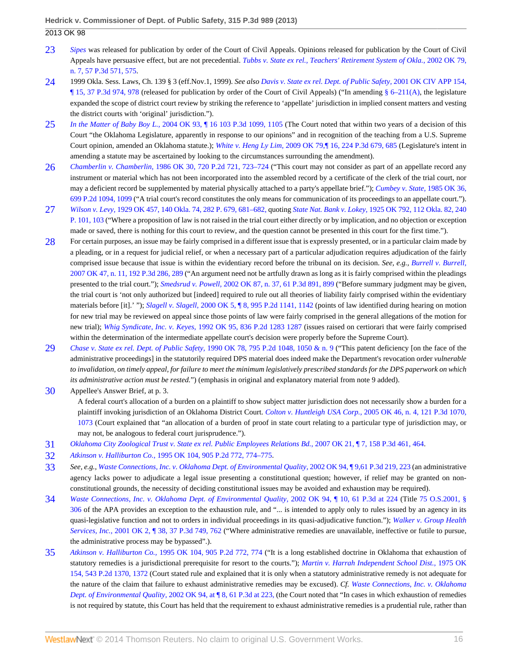- <span id="page-15-0"></span>[23](#page-6-14) *[Sipes](http://www.westlaw.com/Link/Document/FullText?findType=Y&serNum=1997248207&originationContext=document&vr=3.0&rs=cblt1.0&transitionType=DocumentItem&contextData=(sc.Search))* was released for publication by order of the Court of Civil Appeals. Opinions released for publication by the Court of Civil Appeals have persuasive effect, but are not precedential. *[Tubbs v. State ex rel., Teachers' Retirement System of Okla.,](http://www.westlaw.com/Link/Document/FullText?findType=Y&serNum=2002656611&pubNum=4645&fi=co_pp_sp_4645_575&originationContext=document&vr=3.0&rs=cblt1.0&transitionType=DocumentItem&contextData=(sc.Search)#co_pp_sp_4645_575)* 2002 OK 79, [n. 7, 57 P.3d 571, 575](http://www.westlaw.com/Link/Document/FullText?findType=Y&serNum=2002656611&pubNum=4645&fi=co_pp_sp_4645_575&originationContext=document&vr=3.0&rs=cblt1.0&transitionType=DocumentItem&contextData=(sc.Search)#co_pp_sp_4645_575).
- <span id="page-15-1"></span>[24](#page-7-0) 1999 Okla. Sess. Laws, Ch. 139 § 3 (eff.Nov.1, 1999). *See also [Davis v. State ex rel. Dept. of Public Safety,](http://www.westlaw.com/Link/Document/FullText?findType=Y&serNum=2002033719&pubNum=4645&fi=co_pp_sp_4645_978&originationContext=document&vr=3.0&rs=cblt1.0&transitionType=DocumentItem&contextData=(sc.Search)#co_pp_sp_4645_978)* 2001 OK CIV APP 154,  $\P$  15, 37 P.3d 974, 978 (released for publication by order of the Court of Civil Appeals) ("In amending [§ 6–211\(A\)](http://www.westlaw.com/Link/Document/FullText?findType=L&pubNum=1000165&cite=OKSTT47S6-211&originatingDoc=I24ac18cf57f111e3b48bea39e86d4142&refType=LQ&originationContext=document&vr=3.0&rs=cblt1.0&transitionType=DocumentItem&contextData=(sc.Search)), the legislature expanded the scope of district court review by striking the reference to 'appellate' jurisdiction in implied consent matters and vesting the district courts with 'original' jurisdiction.").
- <span id="page-15-2"></span>[25](#page-7-1) *In the Matter of Baby Boy L.,* [2004 OK 93, ¶ 16 103 P.3d 1099, 1105](http://www.westlaw.com/Link/Document/FullText?findType=Y&serNum=2005701567&pubNum=4645&fi=co_pp_sp_4645_1105&originationContext=document&vr=3.0&rs=cblt1.0&transitionType=DocumentItem&contextData=(sc.Search)#co_pp_sp_4645_1105) (The Court noted that within two years of a decision of this Court "the Oklahoma Legislature, apparently in response to our opinions" and in recognition of the teaching from a U.S. Supreme Court opinion, amended an Oklahoma statute.); *White v. Heng Ly Lim,* [2009 OK 79,¶ 16, 224 P.3d 679, 685](http://www.westlaw.com/Link/Document/FullText?findType=Y&serNum=2020085751&pubNum=4645&fi=co_pp_sp_4645_685&originationContext=document&vr=3.0&rs=cblt1.0&transitionType=DocumentItem&contextData=(sc.Search)#co_pp_sp_4645_685) (Legislature's intent in amending a statute may be ascertained by looking to the circumstances surrounding the amendment).
- <span id="page-15-3"></span>[26](#page-7-2) *Chamberlin v. Chamberlin,* [1986 OK 30, 720 P.2d 721, 723–724](http://www.westlaw.com/Link/Document/FullText?findType=Y&serNum=1986130430&pubNum=661&fi=co_pp_sp_661_723&originationContext=document&vr=3.0&rs=cblt1.0&transitionType=DocumentItem&contextData=(sc.Search)#co_pp_sp_661_723) ("This court may not consider as part of an appellate record any instrument or material which has not been incorporated into the assembled record by a certificate of the clerk of the trial court, nor may a deficient record be supplemented by material physically attached to a party's appellate brief."); *[Cumbey v. State,](http://www.westlaw.com/Link/Document/FullText?findType=Y&serNum=1985124225&pubNum=661&fi=co_pp_sp_661_1099&originationContext=document&vr=3.0&rs=cblt1.0&transitionType=DocumentItem&contextData=(sc.Search)#co_pp_sp_661_1099)* 1985 OK 36, [699 P.2d 1094, 1099](http://www.westlaw.com/Link/Document/FullText?findType=Y&serNum=1985124225&pubNum=661&fi=co_pp_sp_661_1099&originationContext=document&vr=3.0&rs=cblt1.0&transitionType=DocumentItem&contextData=(sc.Search)#co_pp_sp_661_1099) ("A trial court's record constitutes the only means for communication of its proceedings to an appellate court.").
- <span id="page-15-4"></span>[27](#page-7-3) *Wilson v. Levy,* [1929 OK 457, 140 Okla. 74, 282 P. 679, 681–682,](http://www.westlaw.com/Link/Document/FullText?findType=Y&serNum=1930120445&pubNum=660&fi=co_pp_sp_660_681&originationContext=document&vr=3.0&rs=cblt1.0&transitionType=DocumentItem&contextData=(sc.Search)#co_pp_sp_660_681) quoting *State Nat. Bank v. Lokey,* [1925 OK 792, 112 Okla. 82, 240](http://www.westlaw.com/Link/Document/FullText?findType=Y&serNum=1925120453&pubNum=660&fi=co_pp_sp_660_103&originationContext=document&vr=3.0&rs=cblt1.0&transitionType=DocumentItem&contextData=(sc.Search)#co_pp_sp_660_103) [P. 101, 103](http://www.westlaw.com/Link/Document/FullText?findType=Y&serNum=1925120453&pubNum=660&fi=co_pp_sp_660_103&originationContext=document&vr=3.0&rs=cblt1.0&transitionType=DocumentItem&contextData=(sc.Search)#co_pp_sp_660_103) ("Where a proposition of law is not raised in the trial court either directly or by implication, and no objection or exception made or saved, there is nothing for this court to review, and the question cannot be presented in this court for the first time.").
- <span id="page-15-5"></span>[28](#page-7-4) For certain purposes, an issue may be fairly comprised in a different issue that is expressly presented, or in a particular claim made by a pleading, or in a request for judicial relief, or when a necessary part of a particular adjudication requires adjudication of the fairly comprised issue because that issue is within the evidentiary record before the tribunal on its decision. *See, e.g., [Burrell v. Burrell,](http://www.westlaw.com/Link/Document/FullText?findType=Y&serNum=2012469593&pubNum=4645&fi=co_pp_sp_4645_289&originationContext=document&vr=3.0&rs=cblt1.0&transitionType=DocumentItem&contextData=(sc.Search)#co_pp_sp_4645_289)* [2007 OK 47, n. 11, 192 P.3d 286, 289](http://www.westlaw.com/Link/Document/FullText?findType=Y&serNum=2012469593&pubNum=4645&fi=co_pp_sp_4645_289&originationContext=document&vr=3.0&rs=cblt1.0&transitionType=DocumentItem&contextData=(sc.Search)#co_pp_sp_4645_289) ("An argument need not be artfully drawn as long as it is fairly comprised within the pleadings presented to the trial court."); *Smedsrud v. Powell,* [2002 OK 87, n. 37, 61 P.3d 891, 899](http://www.westlaw.com/Link/Document/FullText?findType=Y&serNum=2002720203&pubNum=4645&fi=co_pp_sp_4645_899&originationContext=document&vr=3.0&rs=cblt1.0&transitionType=DocumentItem&contextData=(sc.Search)#co_pp_sp_4645_899) ("Before summary judgment may be given, the trial court is 'not only authorized but [indeed] required to rule out all theories of liability fairly comprised within the evidentiary materials before [it].' "); *Slagell v. Slagell,* [2000 OK 5, ¶ 8, 995 P.2d 1141, 1142](http://www.westlaw.com/Link/Document/FullText?findType=Y&serNum=2000039256&pubNum=661&fi=co_pp_sp_661_1142&originationContext=document&vr=3.0&rs=cblt1.0&transitionType=DocumentItem&contextData=(sc.Search)#co_pp_sp_661_1142) (points of law identified during hearing on motion for new trial may be reviewed on appeal since those points of law were fairly comprised in the general allegations of the motion for new trial); *Whig Syndicate, Inc. v. Keyes,* [1992 OK 95, 836 P.2d 1283 1287](http://www.westlaw.com/Link/Document/FullText?findType=Y&serNum=1992118361&pubNum=661&fi=co_pp_sp_661_1287&originationContext=document&vr=3.0&rs=cblt1.0&transitionType=DocumentItem&contextData=(sc.Search)#co_pp_sp_661_1287) (issues raised on certiorari that were fairly comprised within the determination of the intermediate appellate court's decision were properly before the Supreme Court).
- <span id="page-15-6"></span>[29](#page-7-5) *[Chase v. State ex rel. Dept. of Public Safety,](http://www.westlaw.com/Link/Document/FullText?findType=Y&serNum=1990112403&pubNum=661&fi=co_pp_sp_661_1050&originationContext=document&vr=3.0&rs=cblt1.0&transitionType=DocumentItem&contextData=(sc.Search)#co_pp_sp_661_1050)* 1990 OK 78, 795 P.2d 1048, 1050 & n. 9 ("This patent deficiency [on the face of the administrative proceedings] in the statutorily required DPS material does indeed make the Department's revocation order *vulnerable to invalidation, on timely appeal, for failure to meet the minimum legislatively prescribed standards for the DPS paperwork on which its administrative action must be rested.*") (emphasis in original and explanatory material from note 9 added).

<span id="page-15-7"></span>[30](#page-7-6) Appellee's Answer Brief, at p. 3.

A federal court's allocation of a burden on a plaintiff to show subject matter jurisdiction does not necessarily show a burden for a plaintiff invoking jurisdiction of an Oklahoma District Court. *Colton v. Huntleigh USA Corp.,* [2005 OK 46, n. 4, 121 P.3d 1070,](http://www.westlaw.com/Link/Document/FullText?findType=Y&serNum=2006842183&pubNum=4645&fi=co_pp_sp_4645_1073&originationContext=document&vr=3.0&rs=cblt1.0&transitionType=DocumentItem&contextData=(sc.Search)#co_pp_sp_4645_1073) [1073](http://www.westlaw.com/Link/Document/FullText?findType=Y&serNum=2006842183&pubNum=4645&fi=co_pp_sp_4645_1073&originationContext=document&vr=3.0&rs=cblt1.0&transitionType=DocumentItem&contextData=(sc.Search)#co_pp_sp_4645_1073) (Court explained that "an allocation of a burden of proof in state court relating to a particular type of jurisdiction may, or may not, be analogous to federal court jurisprudence.").

- <span id="page-15-8"></span>[31](#page-7-7) *[Oklahoma City Zoological Trust v. State ex rel. Public Employees Relations Bd.,](http://www.westlaw.com/Link/Document/FullText?findType=Y&serNum=2011907131&pubNum=4645&fi=co_pp_sp_4645_464&originationContext=document&vr=3.0&rs=cblt1.0&transitionType=DocumentItem&contextData=(sc.Search)#co_pp_sp_4645_464)* 2007 OK 21, ¶ 7, 158 P.3d 461, 464.
- <span id="page-15-9"></span>[32](#page-7-8) *Atkinson v. Halliburton Co.,* [1995 OK 104, 905 P.2d 772, 774–775.](http://www.westlaw.com/Link/Document/FullText?findType=Y&serNum=1995202227&pubNum=661&fi=co_pp_sp_661_774&originationContext=document&vr=3.0&rs=cblt1.0&transitionType=DocumentItem&contextData=(sc.Search)#co_pp_sp_661_774)
- <span id="page-15-10"></span>[33](#page-7-9) *See, e.g., [Waste Connections, Inc. v. Oklahoma Dept. of Environmental Quality,](http://www.westlaw.com/Link/Document/FullText?findType=Y&serNum=2002767574&pubNum=4645&fi=co_pp_sp_4645_223&originationContext=document&vr=3.0&rs=cblt1.0&transitionType=DocumentItem&contextData=(sc.Search)#co_pp_sp_4645_223)* 2002 OK 94, ¶ 9,61 P.3d 219, 223 (an administrative agency lacks power to adjudicate a legal issue presenting a constitutional question; however, if relief may be granted on nonconstitutional grounds, the necessity of deciding constitutional issues may be avoided and exhaustion may be required).
- <span id="page-15-11"></span>[34](#page-7-10) *[Waste Connections, Inc. v. Oklahoma Dept. of Environmental Quality,](http://www.westlaw.com/Link/Document/FullText?findType=Y&serNum=2002767574&pubNum=4645&fi=co_pp_sp_4645_224&originationContext=document&vr=3.0&rs=cblt1.0&transitionType=DocumentItem&contextData=(sc.Search)#co_pp_sp_4645_224)* 2002 OK 94, ¶ 10, 61 P.3d at 224 (Title [75 O.S.2001, §](http://www.westlaw.com/Link/Document/FullText?findType=L&pubNum=1000165&cite=OKSTT75S306&originatingDoc=I24ac18cf57f111e3b48bea39e86d4142&refType=LQ&originationContext=document&vr=3.0&rs=cblt1.0&transitionType=DocumentItem&contextData=(sc.Search)) [306](http://www.westlaw.com/Link/Document/FullText?findType=L&pubNum=1000165&cite=OKSTT75S306&originatingDoc=I24ac18cf57f111e3b48bea39e86d4142&refType=LQ&originationContext=document&vr=3.0&rs=cblt1.0&transitionType=DocumentItem&contextData=(sc.Search)) of the APA provides an exception to the exhaustion rule, and "... is intended to apply only to rules issued by an agency in its quasi-legislative function and not to orders in individual proceedings in its quasi-adjudicative function."); *[Walker v. Group Health](http://www.westlaw.com/Link/Document/FullText?findType=Y&serNum=2001077807&pubNum=4645&fi=co_pp_sp_4645_762&originationContext=document&vr=3.0&rs=cblt1.0&transitionType=DocumentItem&contextData=(sc.Search)#co_pp_sp_4645_762) Services, Inc.,* [2001 OK 2, ¶ 38, 37 P.3d 749, 762](http://www.westlaw.com/Link/Document/FullText?findType=Y&serNum=2001077807&pubNum=4645&fi=co_pp_sp_4645_762&originationContext=document&vr=3.0&rs=cblt1.0&transitionType=DocumentItem&contextData=(sc.Search)#co_pp_sp_4645_762) ("Where administrative remedies are unavailable, ineffective or futile to pursue, the administrative process may be bypassed".).
- <span id="page-15-12"></span>[35](#page-8-0) *Atkinson v. Halliburton Co.,* [1995 OK 104, 905 P.2d 772, 774](http://www.westlaw.com/Link/Document/FullText?findType=Y&serNum=1995202227&pubNum=661&fi=co_pp_sp_661_774&originationContext=document&vr=3.0&rs=cblt1.0&transitionType=DocumentItem&contextData=(sc.Search)#co_pp_sp_661_774) ("It is a long established doctrine in Oklahoma that exhaustion of statutory remedies is a jurisdictional prerequisite for resort to the courts."); *[Martin v. Harrah Independent School Dist.,](http://www.westlaw.com/Link/Document/FullText?findType=Y&serNum=1975129476&pubNum=661&fi=co_pp_sp_661_1372&originationContext=document&vr=3.0&rs=cblt1.0&transitionType=DocumentItem&contextData=(sc.Search)#co_pp_sp_661_1372)* 1975 OK [154, 543 P.2d 1370, 1372](http://www.westlaw.com/Link/Document/FullText?findType=Y&serNum=1975129476&pubNum=661&fi=co_pp_sp_661_1372&originationContext=document&vr=3.0&rs=cblt1.0&transitionType=DocumentItem&contextData=(sc.Search)#co_pp_sp_661_1372) (Court stated rule and explained that it is only when a statutory administrative remedy is not adequate for the nature of the claim that failure to exhaust administrative remedies may be excused). *Cf. [Waste Connections, Inc. v. Oklahoma](http://www.westlaw.com/Link/Document/FullText?findType=Y&serNum=2002767574&pubNum=4645&fi=co_pp_sp_4645_223&originationContext=document&vr=3.0&rs=cblt1.0&transitionType=DocumentItem&contextData=(sc.Search)#co_pp_sp_4645_223) Dept. of Environmental Quality,* 2002 OK 94, at **[8, 61 P.3d at 223, (the Court noted that "In cases in which exhaustion of remedies** is not required by statute, this Court has held that the requirement to exhaust administrative remedies is a prudential rule, rather than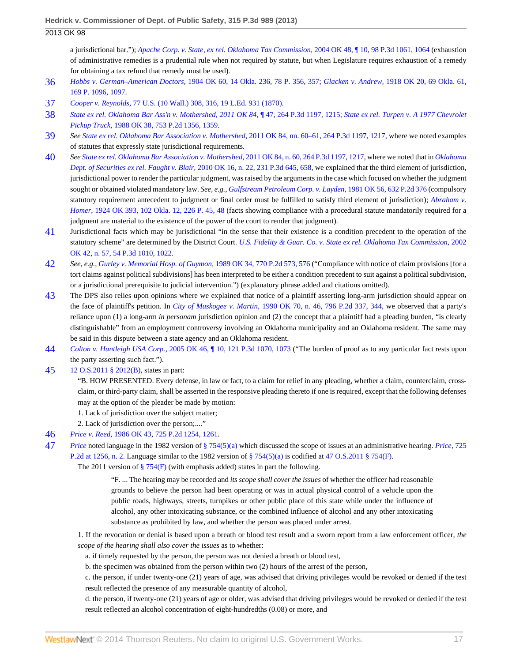a jurisdictional bar."); *[Apache Corp. v. State, ex rel. Oklahoma Tax Commission,](http://www.westlaw.com/Link/Document/FullText?findType=Y&serNum=2004585260&pubNum=4645&fi=co_pp_sp_4645_1064&originationContext=document&vr=3.0&rs=cblt1.0&transitionType=DocumentItem&contextData=(sc.Search)#co_pp_sp_4645_1064)* 2004 OK 48, ¶ 10, 98 P.3d 1061, 1064 (exhaustion of administrative remedies is a prudential rule when not required by statute, but when Legislature requires exhaustion of a remedy for obtaining a tax refund that remedy must be used).

- <span id="page-16-0"></span>[36](#page-8-1) *Hobbs v. German–American Doctors,* [1904 OK 60, 14 Okla. 236, 78 P. 356, 357;](http://www.westlaw.com/Link/Document/FullText?findType=Y&serNum=1904013714&pubNum=660&fi=co_pp_sp_660_357&originationContext=document&vr=3.0&rs=cblt1.0&transitionType=DocumentItem&contextData=(sc.Search)#co_pp_sp_660_357) *Glacken v. Andrew,* [1918 OK 20, 69 Okla. 61,](http://www.westlaw.com/Link/Document/FullText?findType=Y&serNum=1918020797&pubNum=660&fi=co_pp_sp_660_1097&originationContext=document&vr=3.0&rs=cblt1.0&transitionType=DocumentItem&contextData=(sc.Search)#co_pp_sp_660_1097) [169 P. 1096, 1097.](http://www.westlaw.com/Link/Document/FullText?findType=Y&serNum=1918020797&pubNum=660&fi=co_pp_sp_660_1097&originationContext=document&vr=3.0&rs=cblt1.0&transitionType=DocumentItem&contextData=(sc.Search)#co_pp_sp_660_1097)
- <span id="page-16-1"></span>[37](#page-8-2) *Cooper v. Reynolds,* [77 U.S. \(10 Wall.\) 308, 316, 19 L.Ed. 931 \(1870\)](http://www.westlaw.com/Link/Document/FullText?findType=Y&serNum=1870102861&pubNum=780&fi=co_pp_sp_780_316&originationContext=document&vr=3.0&rs=cblt1.0&transitionType=DocumentItem&contextData=(sc.Search)#co_pp_sp_780_316).
- <span id="page-16-2"></span>[38](#page-8-3) *[State ex rel. Oklahoma Bar Ass'n v. Mothershed, 2011 OK 84,](http://www.westlaw.com/Link/Document/FullText?findType=Y&serNum=2026318773&pubNum=4645&fi=co_pp_sp_4645_1215&originationContext=document&vr=3.0&rs=cblt1.0&transitionType=DocumentItem&contextData=(sc.Search)#co_pp_sp_4645_1215)* ¶ 47, 264 P.3d 1197, 1215; *[State ex rel. Turpen v. A 1977 Chevrolet](http://www.westlaw.com/Link/Document/FullText?findType=Y&serNum=1988052280&pubNum=661&fi=co_pp_sp_661_1359&originationContext=document&vr=3.0&rs=cblt1.0&transitionType=DocumentItem&contextData=(sc.Search)#co_pp_sp_661_1359) Pickup Truck,* [1988 OK 38, 753 P.2d 1356, 1359](http://www.westlaw.com/Link/Document/FullText?findType=Y&serNum=1988052280&pubNum=661&fi=co_pp_sp_661_1359&originationContext=document&vr=3.0&rs=cblt1.0&transitionType=DocumentItem&contextData=(sc.Search)#co_pp_sp_661_1359).
- <span id="page-16-3"></span>[39](#page-8-4) *See [State ex rel. Oklahoma Bar Association v. Mothershed,](http://www.westlaw.com/Link/Document/FullText?findType=Y&serNum=2026318773&pubNum=4645&fi=co_pp_sp_4645_1217&originationContext=document&vr=3.0&rs=cblt1.0&transitionType=DocumentItem&contextData=(sc.Search)#co_pp_sp_4645_1217)* 2011 OK 84, nn. 60–61, 264 P.3d 1197, 1217, where we noted examples of statutes that expressly state jurisdictional requirements.
- <span id="page-16-4"></span>[40](#page-8-5) *See [State ex rel. Oklahoma Bar Association v. Mothershed,](http://www.westlaw.com/Link/Document/FullText?findType=Y&serNum=2026318773&pubNum=4645&fi=co_pp_sp_4645_1217&originationContext=document&vr=3.0&rs=cblt1.0&transitionType=DocumentItem&contextData=(sc.Search)#co_pp_sp_4645_1217)* 2011 OK 84, n. 60, 264 P.3d 1197, 1217, where we noted that in *[Oklahoma](http://www.westlaw.com/Link/Document/FullText?findType=Y&serNum=2021417959&pubNum=4645&fi=co_pp_sp_4645_658&originationContext=document&vr=3.0&rs=cblt1.0&transitionType=DocumentItem&contextData=(sc.Search)#co_pp_sp_4645_658) [Dept. of Securities ex rel. Faught v. Blair,](http://www.westlaw.com/Link/Document/FullText?findType=Y&serNum=2021417959&pubNum=4645&fi=co_pp_sp_4645_658&originationContext=document&vr=3.0&rs=cblt1.0&transitionType=DocumentItem&contextData=(sc.Search)#co_pp_sp_4645_658)* 2010 OK 16, n. 22, 231 P.3d 645, 658, we explained that the third element of jurisdiction, jurisdictional power to render the particular judgment, was raised by the arguments in the case which focused on whether the judgment sought or obtained violated mandatory law. *See, e.g., [Gulfstream Petroleum Corp. v. Layden,](http://www.westlaw.com/Link/Document/FullText?findType=Y&serNum=1981122411&pubNum=661&originationContext=document&vr=3.0&rs=cblt1.0&transitionType=DocumentItem&contextData=(sc.Search))* 1981 OK 56, 632 P.2d 376 (compulsory statutory requirement antecedent to judgment or final order must be fulfilled to satisfy third element of jurisdiction); *[Abraham v.](http://www.westlaw.com/Link/Document/FullText?findType=Y&serNum=1924119555&pubNum=660&fi=co_pp_sp_660_48&originationContext=document&vr=3.0&rs=cblt1.0&transitionType=DocumentItem&contextData=(sc.Search)#co_pp_sp_660_48) Homer,* [1924 OK 393, 102 Okla. 12, 226 P. 45, 48](http://www.westlaw.com/Link/Document/FullText?findType=Y&serNum=1924119555&pubNum=660&fi=co_pp_sp_660_48&originationContext=document&vr=3.0&rs=cblt1.0&transitionType=DocumentItem&contextData=(sc.Search)#co_pp_sp_660_48) (facts showing compliance with a procedural statute mandatorily required for a judgment are material to the existence of the power of the court to render that judgment).
- <span id="page-16-5"></span>[41](#page-8-6) Jurisdictional facts which may be jurisdictional "in the sense that their existence is a condition precedent to the operation of the statutory scheme" are determined by the District Court. *[U.S. Fidelity & Guar. Co. v. State ex rel. Oklahoma Tax Commission,](http://www.westlaw.com/Link/Document/FullText?findType=Y&serNum=2002337331&pubNum=4645&fi=co_pp_sp_4645_1022&originationContext=document&vr=3.0&rs=cblt1.0&transitionType=DocumentItem&contextData=(sc.Search)#co_pp_sp_4645_1022)* 2002 [OK 42, n. 57, 54 P.3d 1010, 1022.](http://www.westlaw.com/Link/Document/FullText?findType=Y&serNum=2002337331&pubNum=4645&fi=co_pp_sp_4645_1022&originationContext=document&vr=3.0&rs=cblt1.0&transitionType=DocumentItem&contextData=(sc.Search)#co_pp_sp_4645_1022)
- <span id="page-16-6"></span>[42](#page-8-7) *See, e.g., [Gurley v. Memorial Hosp. of Guymon,](http://www.westlaw.com/Link/Document/FullText?findType=Y&serNum=1989034064&pubNum=661&fi=co_pp_sp_661_576&originationContext=document&vr=3.0&rs=cblt1.0&transitionType=DocumentItem&contextData=(sc.Search)#co_pp_sp_661_576)* 1989 OK 34, 770 P.2d 573, 576 ("Compliance with notice of claim provisions [for a tort claims against political subdivisions] has been interpreted to be either a condition precedent to suit against a political subdivision, or a jurisdictional prerequisite to judicial intervention.") (explanatory phrase added and citations omitted).
- <span id="page-16-7"></span>[43](#page-8-8) The DPS also relies upon opinions where we explained that notice of a plaintiff asserting long-arm jurisdiction should appear on the face of plaintiff's petition. In *City of Muskogee v. Martin,* [1990 OK 70, n. 46, 796 P.2d 337, 344,](http://www.westlaw.com/Link/Document/FullText?findType=Y&serNum=1990108440&pubNum=661&fi=co_pp_sp_661_344&originationContext=document&vr=3.0&rs=cblt1.0&transitionType=DocumentItem&contextData=(sc.Search)#co_pp_sp_661_344) we observed that a party's reliance upon (1) a long-arm *in personam* jurisdiction opinion and (2) the concept that a plaintiff had a pleading burden, "is clearly distinguishable" from an employment controversy involving an Oklahoma municipality and an Oklahoma resident. The same may be said in this dispute between a state agency and an Oklahoma resident.
- <span id="page-16-8"></span>[44](#page-8-9) *Colton v. Huntleigh USA Corp.,* [2005 OK 46, ¶ 10, 121 P.3d 1070, 1073](http://www.westlaw.com/Link/Document/FullText?findType=Y&serNum=2006842183&pubNum=4645&fi=co_pp_sp_4645_1073&originationContext=document&vr=3.0&rs=cblt1.0&transitionType=DocumentItem&contextData=(sc.Search)#co_pp_sp_4645_1073) ("The burden of proof as to any particular fact rests upon the party asserting such fact.").
- <span id="page-16-9"></span>[45](#page-8-10) [12 O.S.2011 § 2012\(B\)](http://www.westlaw.com/Link/Document/FullText?findType=L&pubNum=1000165&cite=OKSTT12S2012&originatingDoc=I24ac18cf57f111e3b48bea39e86d4142&refType=LQ&originationContext=document&vr=3.0&rs=cblt1.0&transitionType=DocumentItem&contextData=(sc.Search)), states in part:

"B. HOW PRESENTED. Every defense, in law or fact, to a claim for relief in any pleading, whether a claim, counterclaim, crossclaim, or third-party claim, shall be asserted in the responsive pleading thereto if one is required, except that the following defenses may at the option of the pleader be made by motion:

- 1. Lack of jurisdiction over the subject matter;
- 2. Lack of jurisdiction over the person;...."

#### <span id="page-16-10"></span>[46](#page-8-11) *Price v. Reed,* [1986 OK 43, 725 P.2d 1254, 1261](http://www.westlaw.com/Link/Document/FullText?findType=Y&serNum=1986135885&pubNum=661&fi=co_pp_sp_661_1261&originationContext=document&vr=3.0&rs=cblt1.0&transitionType=DocumentItem&contextData=(sc.Search)#co_pp_sp_661_1261).

- <span id="page-16-11"></span>[47](#page-8-12) *[Price](http://www.westlaw.com/Link/Document/FullText?findType=Y&serNum=1986135885&originationContext=document&vr=3.0&rs=cblt1.0&transitionType=DocumentItem&contextData=(sc.Search))* noted language in the 1982 version of [§ 754\(5\)\(a\)](http://www.westlaw.com/Link/Document/FullText?findType=L&pubNum=1000165&cite=OKSTT47S754&originatingDoc=I24ac18cf57f111e3b48bea39e86d4142&refType=LQ&originationContext=document&vr=3.0&rs=cblt1.0&transitionType=DocumentItem&contextData=(sc.Search)) which discussed the scope of issues at an administrative hearing. *[Price,](http://www.westlaw.com/Link/Document/FullText?findType=Y&serNum=1986135885&pubNum=661&fi=co_pp_sp_661_1256&originationContext=document&vr=3.0&rs=cblt1.0&transitionType=DocumentItem&contextData=(sc.Search)#co_pp_sp_661_1256)* 725 [P.2d at 1256, n. 2.](http://www.westlaw.com/Link/Document/FullText?findType=Y&serNum=1986135885&pubNum=661&fi=co_pp_sp_661_1256&originationContext=document&vr=3.0&rs=cblt1.0&transitionType=DocumentItem&contextData=(sc.Search)#co_pp_sp_661_1256) Language similar to the 1982 version of [§ 754\(5\)\(a\)](http://www.westlaw.com/Link/Document/FullText?findType=L&pubNum=1000165&cite=OKSTT47S754&originatingDoc=I24ac18cf57f111e3b48bea39e86d4142&refType=LQ&originationContext=document&vr=3.0&rs=cblt1.0&transitionType=DocumentItem&contextData=(sc.Search)) is codified at [47 O.S.2011 § 754\(F\)](http://www.westlaw.com/Link/Document/FullText?findType=L&pubNum=1000165&cite=OKSTT47S754&originatingDoc=I24ac18cf57f111e3b48bea39e86d4142&refType=LQ&originationContext=document&vr=3.0&rs=cblt1.0&transitionType=DocumentItem&contextData=(sc.Search)).
	- The 2011 version of  $\S 754(F)$  (with emphasis added) states in part the following.

"F. ... The hearing may be recorded and *its scope shall cover the issues* of whether the officer had reasonable grounds to believe the person had been operating or was in actual physical control of a vehicle upon the public roads, highways, streets, turnpikes or other public place of this state while under the influence of alcohol, any other intoxicating substance, or the combined influence of alcohol and any other intoxicating substance as prohibited by law, and whether the person was placed under arrest.

1. If the revocation or denial is based upon a breath or blood test result and a sworn report from a law enforcement officer, *the scope of the hearing shall also cover the issues* as to whether:

a. if timely requested by the person, the person was not denied a breath or blood test,

b. the specimen was obtained from the person within two (2) hours of the arrest of the person,

c. the person, if under twenty-one (21) years of age, was advised that driving privileges would be revoked or denied if the test result reflected the presence of any measurable quantity of alcohol,

d. the person, if twenty-one (21) years of age or older, was advised that driving privileges would be revoked or denied if the test result reflected an alcohol concentration of eight-hundredths (0.08) or more, and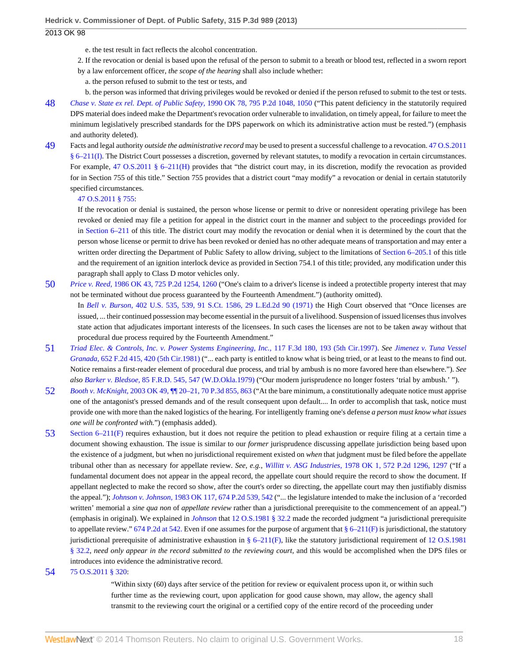- e. the test result in fact reflects the alcohol concentration.
- 2. If the revocation or denial is based upon the refusal of the person to submit to a breath or blood test, reflected in a sworn report
- by a law enforcement officer, *the scope of the hearing* shall also include whether:
	- a. the person refused to submit to the test or tests, and
- b. the person was informed that driving privileges would be revoked or denied if the person refused to submit to the test or tests.
- <span id="page-17-0"></span>[48](#page-8-13) *[Chase v. State ex rel. Dept. of Public Safety,](http://www.westlaw.com/Link/Document/FullText?findType=Y&serNum=1990112403&pubNum=661&fi=co_pp_sp_661_1050&originationContext=document&vr=3.0&rs=cblt1.0&transitionType=DocumentItem&contextData=(sc.Search)#co_pp_sp_661_1050)* 1990 OK 78, 795 P.2d 1048, 1050 ("This patent deficiency in the statutorily required DPS material does indeed make the Department's revocation order vulnerable to invalidation, on timely appeal, for failure to meet the minimum legislatively prescribed standards for the DPS paperwork on which its administrative action must be rested.") (emphasis and authority deleted).
- <span id="page-17-1"></span>[49](#page-8-14) Facts and legal authority *outside the administrative record* may be used to present a successful challenge to a revocation. [47 O.S.2011](http://www.westlaw.com/Link/Document/FullText?findType=L&pubNum=1000165&cite=OKSTT47S6-211&originatingDoc=I24ac18cf57f111e3b48bea39e86d4142&refType=LQ&originationContext=document&vr=3.0&rs=cblt1.0&transitionType=DocumentItem&contextData=(sc.Search)) [§ 6–211\(I\)](http://www.westlaw.com/Link/Document/FullText?findType=L&pubNum=1000165&cite=OKSTT47S6-211&originatingDoc=I24ac18cf57f111e3b48bea39e86d4142&refType=LQ&originationContext=document&vr=3.0&rs=cblt1.0&transitionType=DocumentItem&contextData=(sc.Search)). The District Court possesses a discretion, governed by relevant statutes, to modify a revocation in certain circumstances. For example, [47 O.S.2011 § 6–211\(H\)](http://www.westlaw.com/Link/Document/FullText?findType=L&pubNum=1000165&cite=OKSTT47S6-211&originatingDoc=I24ac18cf57f111e3b48bea39e86d4142&refType=LQ&originationContext=document&vr=3.0&rs=cblt1.0&transitionType=DocumentItem&contextData=(sc.Search)) provides that "the district court may, in its discretion, modify the revocation as provided for in Section 755 of this title." Section 755 provides that a district court "may modify" a revocation or denial in certain statutorily specified circumstances.

#### [47 O.S.2011 § 755:](http://www.westlaw.com/Link/Document/FullText?findType=L&pubNum=1000165&cite=OKSTT47S755&originatingDoc=I24ac18cf57f111e3b48bea39e86d4142&refType=LQ&originationContext=document&vr=3.0&rs=cblt1.0&transitionType=DocumentItem&contextData=(sc.Search))

If the revocation or denial is sustained, the person whose license or permit to drive or nonresident operating privilege has been revoked or denied may file a petition for appeal in the district court in the manner and subject to the proceedings provided for in [Section 6–211](http://www.westlaw.com/Link/Document/FullText?findType=L&pubNum=1000165&cite=OKSTT47S6-211&originatingDoc=I24ac18cf57f111e3b48bea39e86d4142&refType=LQ&originationContext=document&vr=3.0&rs=cblt1.0&transitionType=DocumentItem&contextData=(sc.Search)) of this title. The district court may modify the revocation or denial when it is determined by the court that the person whose license or permit to drive has been revoked or denied has no other adequate means of transportation and may enter a written order directing the Department of Public Safety to allow driving, subject to the limitations of [Section 6–205.1](http://www.westlaw.com/Link/Document/FullText?findType=L&pubNum=1000165&cite=OKSTT47S6-205.1&originatingDoc=I24ac18cf57f111e3b48bea39e86d4142&refType=LQ&originationContext=document&vr=3.0&rs=cblt1.0&transitionType=DocumentItem&contextData=(sc.Search)) of this title and the requirement of an ignition interlock device as provided in Section 754.1 of this title; provided, any modification under this paragraph shall apply to Class D motor vehicles only.

- <span id="page-17-2"></span>[50](#page-9-1) *Price v. Reed,* [1986 OK 43, 725 P.2d 1254, 1260](http://www.westlaw.com/Link/Document/FullText?findType=Y&serNum=1986135885&pubNum=661&fi=co_pp_sp_661_1260&originationContext=document&vr=3.0&rs=cblt1.0&transitionType=DocumentItem&contextData=(sc.Search)#co_pp_sp_661_1260) ("One's claim to a driver's license is indeed a protectible property interest that may not be terminated without due process guaranteed by the Fourteenth Amendment.") (authority omitted). In *Bell v. Burson,* [402 U.S. 535, 539, 91 S.Ct. 1586, 29 L.Ed.2d 90 \(1971\)](http://www.westlaw.com/Link/Document/FullText?findType=Y&serNum=1971127072&pubNum=708&originationContext=document&vr=3.0&rs=cblt1.0&transitionType=DocumentItem&contextData=(sc.Search)) the High Court observed that "Once licenses are
	- issued, ... their continued possession may become essential in the pursuit of a livelihood. Suspension of issued licenses thus involves state action that adjudicates important interests of the licensees. In such cases the licenses are not to be taken away without that procedural due process required by the Fourteenth Amendment."
- <span id="page-17-3"></span>[51](#page-9-2) *[Triad Elec. & Controls, Inc. v. Power Systems Engineering, Inc.,](http://www.westlaw.com/Link/Document/FullText?findType=Y&serNum=1997139532&pubNum=506&fi=co_pp_sp_506_193&originationContext=document&vr=3.0&rs=cblt1.0&transitionType=DocumentItem&contextData=(sc.Search)#co_pp_sp_506_193)* 117 F.3d 180, 193 (5th Cir.1997). *See [Jimenez v. Tuna Vessel](http://www.westlaw.com/Link/Document/FullText?findType=Y&serNum=1981131912&pubNum=350&fi=co_pp_sp_350_420&originationContext=document&vr=3.0&rs=cblt1.0&transitionType=DocumentItem&contextData=(sc.Search)#co_pp_sp_350_420) Granada,* [652 F.2d 415, 420 \(5th Cir.1981\)](http://www.westlaw.com/Link/Document/FullText?findType=Y&serNum=1981131912&pubNum=350&fi=co_pp_sp_350_420&originationContext=document&vr=3.0&rs=cblt1.0&transitionType=DocumentItem&contextData=(sc.Search)#co_pp_sp_350_420) ("... each party is entitled to know what is being tried, or at least to the means to find out. Notice remains a first-reader element of procedural due process, and trial by ambush is no more favored here than elsewhere."). *See also Barker v. Bledsoe,* [85 F.R.D. 545, 547 \(W.D.Okla.1979\)](http://www.westlaw.com/Link/Document/FullText?findType=Y&serNum=1980194699&pubNum=344&fi=co_pp_sp_344_547&originationContext=document&vr=3.0&rs=cblt1.0&transitionType=DocumentItem&contextData=(sc.Search)#co_pp_sp_344_547) ("Our modern jurisprudence no longer fosters 'trial by ambush.' ").
- <span id="page-17-4"></span>[52](#page-9-3) *Booth v. McKnight,* [2003 OK 49, ¶¶ 20–21, 70 P.3d 855, 863](http://www.westlaw.com/Link/Document/FullText?findType=Y&serNum=2003348664&pubNum=4645&fi=co_pp_sp_4645_863&originationContext=document&vr=3.0&rs=cblt1.0&transitionType=DocumentItem&contextData=(sc.Search)#co_pp_sp_4645_863) ("At the bare minimum, a constitutionally adequate notice must apprise one of the antagonist's pressed demands and of the result consequent upon default.... In order to accomplish that task, notice must provide one with more than the naked logistics of the hearing. For intelligently framing one's defense *a person must know what issues one will be confronted with.*") (emphasis added).
- <span id="page-17-5"></span>[53](#page-9-4) [Section 6–211\(F\)](http://www.westlaw.com/Link/Document/FullText?findType=L&pubNum=1000165&cite=OKSTT47S6-211&originatingDoc=I24ac18cf57f111e3b48bea39e86d4142&refType=LQ&originationContext=document&vr=3.0&rs=cblt1.0&transitionType=DocumentItem&contextData=(sc.Search)) requires exhaustion, but it does not require the petition to plead exhaustion or require filing at a certain time a document showing exhaustion. The issue is similar to our *former* jurisprudence discussing appellate jurisdiction being based upon the existence of a judgment, but when no jurisdictional requirement existed on *when* that judgment must be filed before the appellate tribunal other than as necessary for appellate review. *See, e.g., Willitt v. ASG Industries,* [1978 OK 1, 572 P.2d 1296, 1297](http://www.westlaw.com/Link/Document/FullText?findType=Y&serNum=1978107969&pubNum=661&fi=co_pp_sp_661_1297&originationContext=document&vr=3.0&rs=cblt1.0&transitionType=DocumentItem&contextData=(sc.Search)#co_pp_sp_661_1297) ("If a fundamental document does not appear in the appeal record, the appellate court should require the record to show the document. If appellant neglected to make the record so show, after the court's order so directing, the appellate court may then justifiably dismiss the appeal."); *Johnson v. Johnson,* [1983 OK 117, 674 P.2d 539, 542](http://www.westlaw.com/Link/Document/FullText?findType=Y&serNum=1983157094&pubNum=661&fi=co_pp_sp_661_542&originationContext=document&vr=3.0&rs=cblt1.0&transitionType=DocumentItem&contextData=(sc.Search)#co_pp_sp_661_542) ("... the legislature intended to make the inclusion of a 'recorded written' memorial a *sine qua non* of *appellate review* rather than a jurisdictional prerequisite to the commencement of an appeal.") (emphasis in original). We explained in *[Johnson](http://www.westlaw.com/Link/Document/FullText?findType=Y&serNum=1983157094&originationContext=document&vr=3.0&rs=cblt1.0&transitionType=DocumentItem&contextData=(sc.Search))* that [12 O.S.1981 § 32.2](http://www.westlaw.com/Link/Document/FullText?findType=L&pubNum=1000165&cite=OKSTT12S32.2&originatingDoc=I24ac18cf57f111e3b48bea39e86d4142&refType=LQ&originationContext=document&vr=3.0&rs=cblt1.0&transitionType=DocumentItem&contextData=(sc.Search)) made the recorded judgment "a jurisdictional prerequisite to appellate review." [674 P.2d at 542.](http://www.westlaw.com/Link/Document/FullText?findType=Y&serNum=1983157094&pubNum=661&fi=co_pp_sp_661_542&originationContext=document&vr=3.0&rs=cblt1.0&transitionType=DocumentItem&contextData=(sc.Search)#co_pp_sp_661_542) Even if one assumes for the purpose of argument that  $\S 6-211(F)$  is jurisdictional, the statutory jurisdictional prerequisite of administrative exhaustion in  $\S 6-211(F)$ , like the statutory jurisdictional requirement of [12 O.S.1981](http://www.westlaw.com/Link/Document/FullText?findType=L&pubNum=1000165&cite=OKSTT12S32.2&originatingDoc=I24ac18cf57f111e3b48bea39e86d4142&refType=LQ&originationContext=document&vr=3.0&rs=cblt1.0&transitionType=DocumentItem&contextData=(sc.Search)) [§ 32.2](http://www.westlaw.com/Link/Document/FullText?findType=L&pubNum=1000165&cite=OKSTT12S32.2&originatingDoc=I24ac18cf57f111e3b48bea39e86d4142&refType=LQ&originationContext=document&vr=3.0&rs=cblt1.0&transitionType=DocumentItem&contextData=(sc.Search)), *need only appear in the record submitted to the reviewing court,* and this would be accomplished when the DPS files or introduces into evidence the administrative record.

#### <span id="page-17-6"></span>[54](#page-9-5) [75 O.S.2011 § 320:](http://www.westlaw.com/Link/Document/FullText?findType=L&pubNum=1000165&cite=OKSTT75S320&originatingDoc=I24ac18cf57f111e3b48bea39e86d4142&refType=LQ&originationContext=document&vr=3.0&rs=cblt1.0&transitionType=DocumentItem&contextData=(sc.Search))

"Within sixty (60) days after service of the petition for review or equivalent process upon it, or within such further time as the reviewing court, upon application for good cause shown, may allow, the agency shall transmit to the reviewing court the original or a certified copy of the entire record of the proceeding under